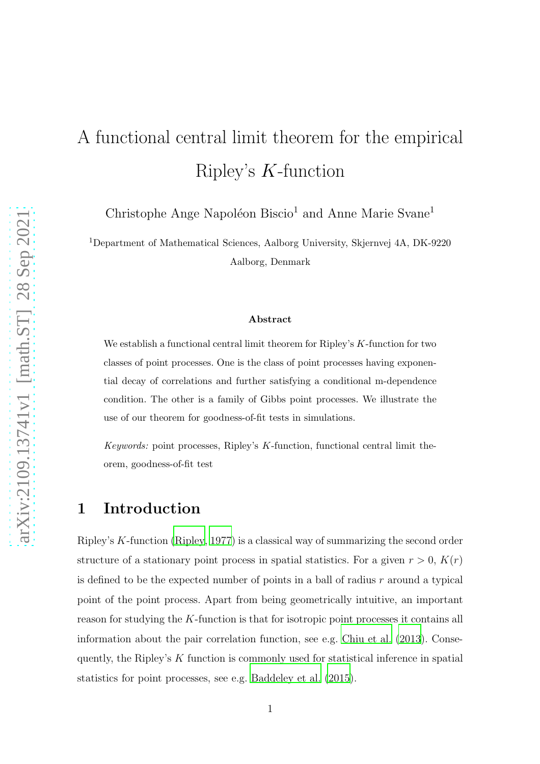# A functional central limit theorem for the empirical Ripley's K-function

Christophe Ange Napoléon Biscio<sup>1</sup> and Anne Marie Svane<sup>1</sup>

<sup>1</sup>Department of Mathematical Sciences, Aalborg University, Skjernvej 4A, DK-9220 Aalborg, Denmark

#### Abstract

We establish a functional central limit theorem for Ripley's K-function for two classes of point processes. One is the class of point processes having exponential decay of correlations and further satisfying a conditional m-dependence condition. The other is a family of Gibbs point processes. We illustrate the use of our theorem for goodness-of-fit tests in simulations.

*Keywords:* point processes, Ripley's K-function, functional central limit theorem, goodness-of-fit test

## 1 Introduction

Ripley's K-function [\(Ripley](#page-39-0), [1977](#page-39-0)) is a classical way of summarizing the second order structure of a stationary point process in spatial statistics. For a given  $r > 0$ ,  $K(r)$ is defined to be the expected number of points in a ball of radius  $r$  around a typical point of the point process. Apart from being geometrically intuitive, an important reason for studying the K-function is that for isotropic point processes it contains all information about the pair correlation function, see e.g. [Chiu et al. \(2013\)](#page-38-0). Consequently, the Ripley's K function is commonly used for statistical inference in spatial statistics for point processes, see e.g. [Baddeley et al. \(2015\)](#page-38-1).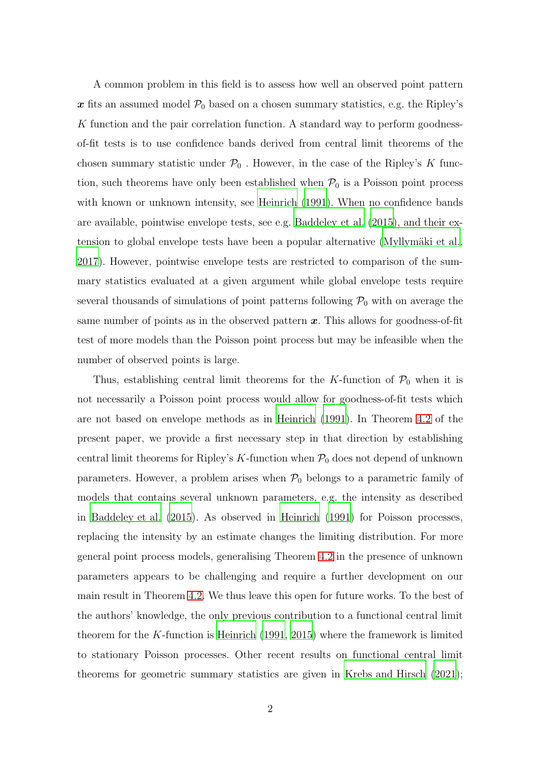A common problem in this field is to assess how well an observed point pattern x fits an assumed model  $P_0$  based on a chosen summary statistics, e.g. the Ripley's K function and the pair correlation function. A standard way to perform goodnessof-fit tests is to use confidence bands derived from central limit theorems of the chosen summary statistic under  $P_0$ . However, in the case of the Ripley's K function, such theorems have only been established when  $P_0$  is a Poisson point process with known or unknown intensity, see [Heinrich \(1991\)](#page-39-1). When no confidence bands are available, pointwise envelope tests, see e.g. [Baddeley et al. \(2015](#page-38-1)), and their extension to global envelope tests have been a popular alternative (Myllymäki et al., [2017\)](#page-39-2). However, pointwise envelope tests are restricted to comparison of the summary statistics evaluated at a given argument while global envelope tests require several thousands of simulations of point patterns following  $P_0$  with on average the same number of points as in the observed pattern  $x$ . This allows for goodness-of-fit test of more models than the Poisson point process but may be infeasible when the number of observed points is large.

Thus, establishing central limit theorems for the K-function of  $\mathcal{P}_0$  when it is not necessarily a Poisson point process would allow for goodness-of-fit tests which are not based on envelope methods as in [Heinrich \(1991\)](#page-39-1). In Theorem [4.2](#page-11-0) of the present paper, we provide a first necessary step in that direction by establishing central limit theorems for Ripley's K-function when  $P_0$  does not depend of unknown parameters. However, a problem arises when  $P_0$  belongs to a parametric family of models that contains several unknown parameters, e.g. the intensity as described in [Baddeley et al. \(2015](#page-38-1)). As observed in [Heinrich \(1991](#page-39-1)) for Poisson processes, replacing the intensity by an estimate changes the limiting distribution. For more general point process models, generalising Theorem [4.2](#page-11-0) in the presence of unknown parameters appears to be challenging and require a further development on our main result in Theorem [4.2.](#page-11-0) We thus leave this open for future works. To the best of the authors' knowledge, the only previous contribution to a functional central limit theorem for the K-function is Heinrich  $(1991, 2015)$  $(1991, 2015)$  $(1991, 2015)$  where the framework is limited to stationary Poisson processes. Other recent results on functional central limit theorems for geometric summary statistics are given in [Krebs and Hirsch \(2021\)](#page-39-4);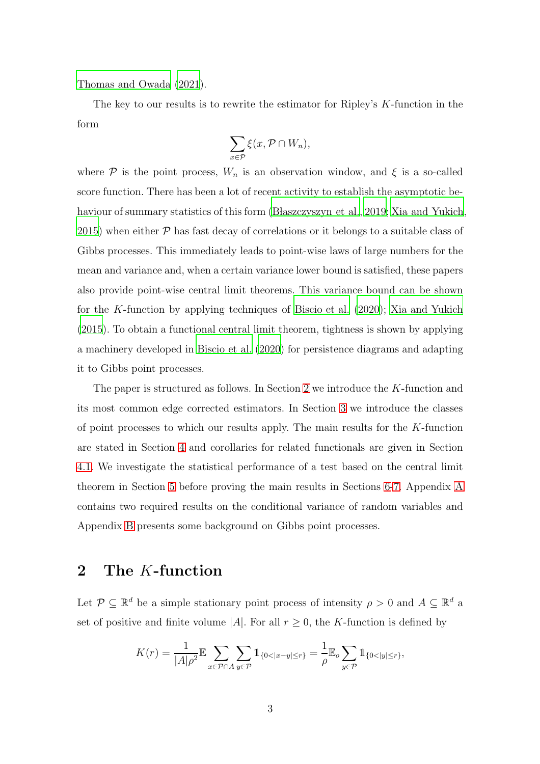[Thomas and Owada \(2021](#page-40-0)).

The key to our results is to rewrite the estimator for Ripley's K-function in the form

$$
\sum_{x \in \mathcal{P}} \xi(x, \mathcal{P} \cap W_n),
$$

where P is the point process,  $W_n$  is an observation window, and  $\xi$  is a so-called score function. There has been a lot of recent activity to establish the asymptotic be-haviour of summary statistics of this form (Blaszczyszyn et al., [2019;](#page-38-2) [Xia and Yukich,](#page-40-1) [2015\)](#page-40-1) when either  $P$  has fast decay of correlations or it belongs to a suitable class of Gibbs processes. This immediately leads to point-wise laws of large numbers for the mean and variance and, when a certain variance lower bound is satisfied, these papers also provide point-wise central limit theorems. This variance bound can be shown for the K-function by applying techniques of [Biscio et al. \(2020\)](#page-38-3); [Xia and Yukich](#page-40-1) [\(2015](#page-40-1)). To obtain a functional central limit theorem, tightness is shown by applying a machinery developed in [Biscio et al. \(2020\)](#page-38-3) for persistence diagrams and adapting it to Gibbs point processes.

The paper is structured as follows. In Section [2](#page-2-0) we introduce the K-function and its most common edge corrected estimators. In Section [3](#page-4-0) we introduce the classes of point processes to which our results apply. The main results for the K-function are stated in Section [4](#page-11-1) and corollaries for related functionals are given in Section [4.1.](#page-11-2) We investigate the statistical performance of a test based on the central limit theorem in Section [5](#page-13-0) before proving the main results in Sections [6-](#page-17-0)[7.](#page-25-0) Appendix [A](#page-40-2) contains two required results on the conditional variance of random variables and Appendix [B](#page-41-0) presents some background on Gibbs point processes.

# <span id="page-2-0"></span>2 The K-function

Let  $\mathcal{P} \subseteq \mathbb{R}^d$  be a simple stationary point process of intensity  $\rho > 0$  and  $A \subseteq \mathbb{R}^d$  a set of positive and finite volume |A|. For all  $r \geq 0$ , the K-function is defined by

$$
K(r) = \frac{1}{|A|\rho^2} \mathbb{E} \sum_{x \in \mathcal{P} \cap A} \sum_{y \in \mathcal{P}} 1_{\{0 < |x - y| \le r\}} = \frac{1}{\rho} \mathbb{E}_o \sum_{y \in \mathcal{P}} 1_{\{0 < |y| \le r\}},
$$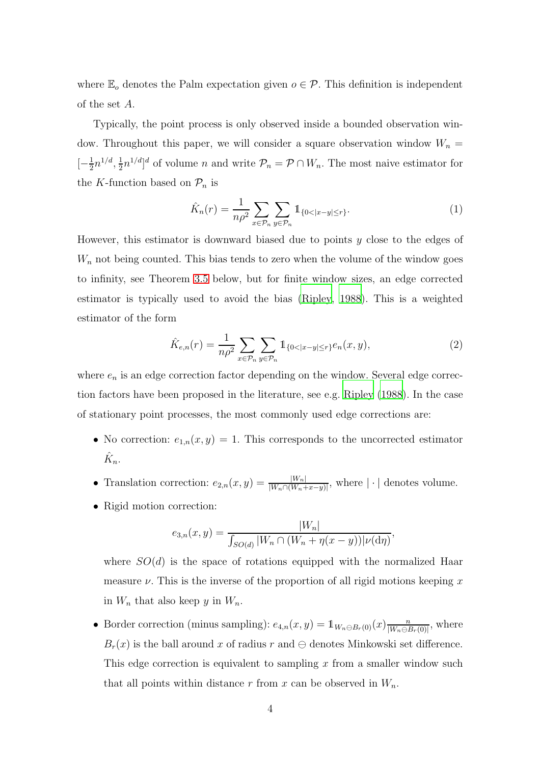where  $\mathbb{E}_{o}$  denotes the Palm expectation given  $o \in \mathcal{P}$ . This definition is independent of the set A.

Typically, the point process is only observed inside a bounded observation window. Throughout this paper, we will consider a square observation window  $W_n =$  $\left[-\frac{1}{2}\right]$  $\frac{1}{2}n^{1/d}, \frac{1}{2}$  $\frac{1}{2}n^{1/d}$  of volume *n* and write  $\mathcal{P}_n = \mathcal{P} \cap W_n$ . The most naive estimator for the K-function based on  $\mathcal{P}_n$  is

<span id="page-3-0"></span>
$$
\hat{K}_n(r) = \frac{1}{n\rho^2} \sum_{x \in \mathcal{P}_n} \sum_{y \in \mathcal{P}_n} \mathbb{1}_{\{0 < |x - y| \le r\}}.\tag{1}
$$

However, this estimator is downward biased due to points  $y$  close to the edges of  $W_n$  not being counted. This bias tends to zero when the volume of the window goes to infinity, see Theorem [3.5](#page-10-0) below, but for finite window sizes, an edge corrected estimator is typically used to avoid the bias [\(Ripley](#page-39-5), [1988\)](#page-39-5). This is a weighted estimator of the form

<span id="page-3-1"></span>
$$
\hat{K}_{e,n}(r) = \frac{1}{n\rho^2} \sum_{x \in \mathcal{P}_n} \sum_{y \in \mathcal{P}_n} \mathbb{1}_{\{0 < |x - y| \le r\}} e_n(x, y),\tag{2}
$$

where  $e_n$  is an edge correction factor depending on the window. Several edge correction factors have been proposed in the literature, see e.g. [Ripley \(1988\)](#page-39-5). In the case of stationary point processes, the most commonly used edge corrections are:

- No correction:  $e_{1,n}(x, y) = 1$ . This corresponds to the uncorrected estimator  $\hat{K}_n$ .
- Translation correction:  $e_{2,n}(x,y) = \frac{|W_n|}{|W_n \cap (W_n + x y)|}$ , where  $|\cdot|$  denotes volume.
- Rigid motion correction:

$$
e_{3,n}(x,y) = \frac{|W_n|}{\int_{SO(d)} |W_n \cap (W_n + \eta(x-y))| \nu(\mathrm{d}\eta)},
$$

where  $SO(d)$  is the space of rotations equipped with the normalized Haar measure  $\nu$ . This is the inverse of the proportion of all rigid motions keeping x in  $W_n$  that also keep y in  $W_n$ .

• Border correction (minus sampling):  $e_{4,n}(x,y) = \mathbb{1}_{W_n \ominus B_r(0)}(x) \frac{n}{|W_n \ominus B_r|}$  $\frac{n}{|W_n \ominus B_r(0)|}$ , where  $B_r(x)$  is the ball around x of radius r and  $\ominus$  denotes Minkowski set difference. This edge correction is equivalent to sampling  $x$  from a smaller window such that all points within distance r from x can be observed in  $W_n$ .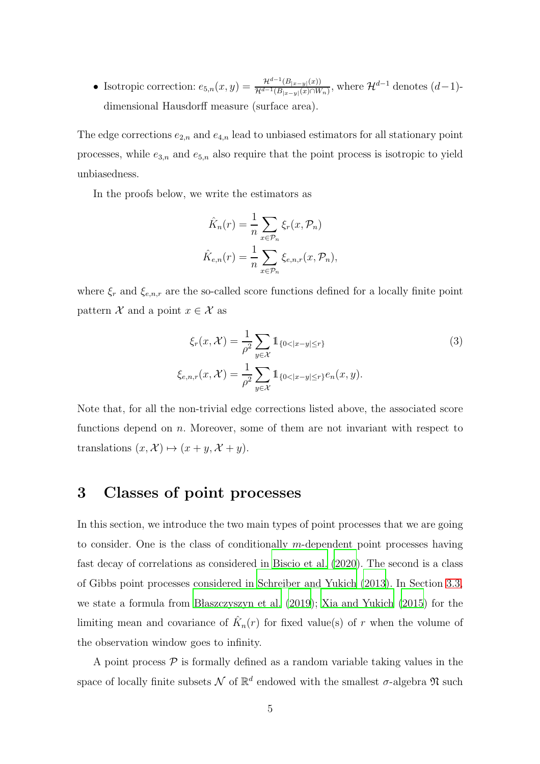• Isotropic correction:  $e_{5,n}(x, y) = \frac{\mathcal{H}^{d-1}(B_{|x-y|}(x))}{\mathcal{H}^{d-1}(B_{|x-y|}(x))\cap W}$  $\frac{H^{\alpha-1}(B_{|x-y|}(x))}{\mathcal{H}^{d-1}(B_{|x-y|}(x)\cap W_n)}$ , where  $\mathcal{H}^{d-1}$  denotes  $(d-1)$ dimensional Hausdorff measure (surface area).

The edge corrections  $e_{2,n}$  and  $e_{4,n}$  lead to unbiased estimators for all stationary point processes, while  $e_{3,n}$  and  $e_{5,n}$  also require that the point process is isotropic to yield unbiasedness.

In the proofs below, we write the estimators as

<span id="page-4-1"></span>
$$
\hat{K}_n(r) = \frac{1}{n} \sum_{x \in \mathcal{P}_n} \xi_r(x, \mathcal{P}_n)
$$

$$
\hat{K}_{e,n}(r) = \frac{1}{n} \sum_{x \in \mathcal{P}_n} \xi_{e,n,r}(x, \mathcal{P}_n),
$$

where  $\xi_r$  and  $\xi_{e,n,r}$  are the so-called score functions defined for a locally finite point pattern  $\mathcal X$  and a point  $x \in \mathcal X$  as

$$
\xi_r(x, \mathcal{X}) = \frac{1}{\rho^2} \sum_{y \in \mathcal{X}} \mathbb{1}_{\{0 < |x - y| \le r\}} \tag{3}
$$
\n
$$
\xi_{e, n, r}(x, \mathcal{X}) = \frac{1}{\rho^2} \sum_{y \in \mathcal{X}} \mathbb{1}_{\{0 < |x - y| \le r\}} e_n(x, y).
$$

Note that, for all the non-trivial edge corrections listed above, the associated score functions depend on n. Moreover, some of them are not invariant with respect to translations  $(x, \mathcal{X}) \mapsto (x + y, \mathcal{X} + y).$ 

## <span id="page-4-0"></span>3 Classes of point processes

In this section, we introduce the two main types of point processes that we are going to consider. One is the class of conditionally  $m$ -dependent point processes having fast decay of correlations as considered in [Biscio et al. \(2020\)](#page-38-3). The second is a class of Gibbs point processes considered in [Schreiber and Yukich \(2013\)](#page-39-6). In Section [3.3,](#page-10-1) we state a formula from Blaszczyszyn et al.  $(2019)$ ; [Xia and Yukich](#page-40-1)  $(2015)$  for the limiting mean and covariance of  $\hat{K}_n(r)$  for fixed value(s) of r when the volume of the observation window goes to infinity.

A point process  $P$  is formally defined as a random variable taking values in the space of locally finite subsets  $\mathcal N$  of  $\mathbb R^d$  endowed with the smallest  $\sigma$ -algebra  $\mathfrak N$  such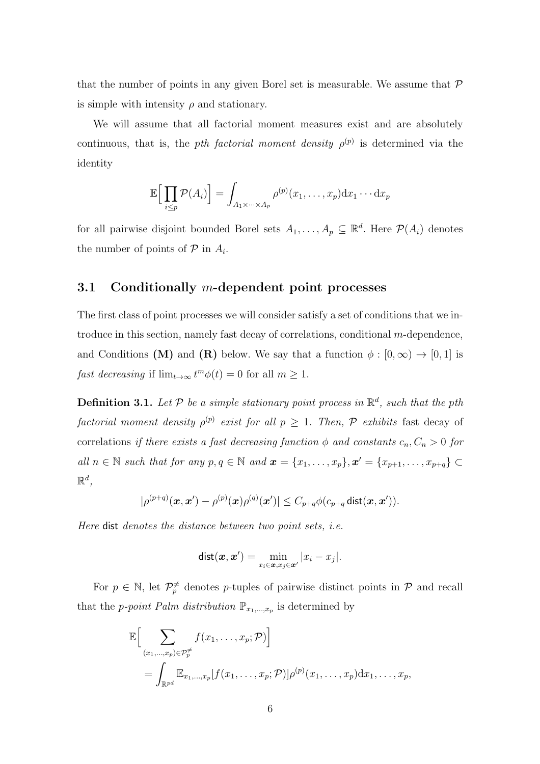that the number of points in any given Borel set is measurable. We assume that  $P$ is simple with intensity  $\rho$  and stationary.

We will assume that all factorial moment measures exist and are absolutely continuous, that is, the *pth factorial moment density*  $\rho^{(p)}$  is determined via the identity

$$
\mathbb{E}\Big[\prod_{i\leq p} \mathcal{P}(A_i)\Big] = \int_{A_1 \times \cdots \times A_p} \rho^{(p)}(x_1,\ldots,x_p) \mathrm{d}x_1 \cdots \mathrm{d}x_p
$$

for all pairwise disjoint bounded Borel sets  $A_1, \ldots, A_p \subseteq \mathbb{R}^d$ . Here  $\mathcal{P}(A_i)$  denotes the number of points of  $P$  in  $A_i$ .

#### 3.1 Conditionally  $m$ -dependent point processes

The first class of point processes we will consider satisfy a set of conditions that we introduce in this section, namely fast decay of correlations, conditional m-dependence, and Conditions (M) and (R) below. We say that a function  $\phi : [0, \infty) \to [0, 1]$  is fast decreasing if  $\lim_{t\to\infty} t^m \phi(t) = 0$  for all  $m \ge 1$ .

<span id="page-5-0"></span>**Definition 3.1.** Let  $P$  be a simple stationary point process in  $\mathbb{R}^d$ , such that the pth factorial moment density  $\rho^{(p)}$  exist for all  $p \geq 1$ . Then,  $P$  exhibits fast decay of correlations if there exists a fast decreasing function  $\phi$  and constants  $c_n, C_n > 0$  for all  $n \in \mathbb{N}$  such that for any  $p, q \in \mathbb{N}$  and  $\boldsymbol{x} = \{x_1, \ldots, x_p\}, \boldsymbol{x}' = \{x_{p+1}, \ldots, x_{p+q}\} \subset$  $\mathbb{R}^d$  ,

$$
|\rho^{(p+q)}(\bm{x},\bm{x}') - \rho^{(p)}(\bm{x})\rho^{(q)}(\bm{x}')| \leq C_{p+q}\phi(c_{p+q}\mathsf{dist}(\bm{x},\bm{x}')).
$$

Here dist denotes the distance between two point sets, i.e.

$$
\text{dist}(\boldsymbol{x},\boldsymbol{x}') = \min_{x_i \in \boldsymbol{x}, x_j \in \boldsymbol{x}'} |x_i - x_j|.
$$

For  $p \in \mathbb{N}$ , let  $\mathcal{P}_p^{\neq}$  denotes p-tuples of pairwise distinct points in  $\mathcal{P}$  and recall that the *p-point Palm distribution*  $\mathbb{P}_{x_1,\dots,x_p}$  is determined by

$$
\mathbb{E}\Big[\sum_{(x_1,\ldots,x_p)\in\mathcal{P}_p^{\neq}}f(x_1,\ldots,x_p;\mathcal{P})\Big]
$$
  
= 
$$
\int_{\mathbb{R}^{pd}}\mathbb{E}_{x_1,\ldots,x_p}[f(x_1,\ldots,x_p;\mathcal{P})]\rho^{(p)}(x_1,\ldots,x_p)dx_1,\ldots,x_p,
$$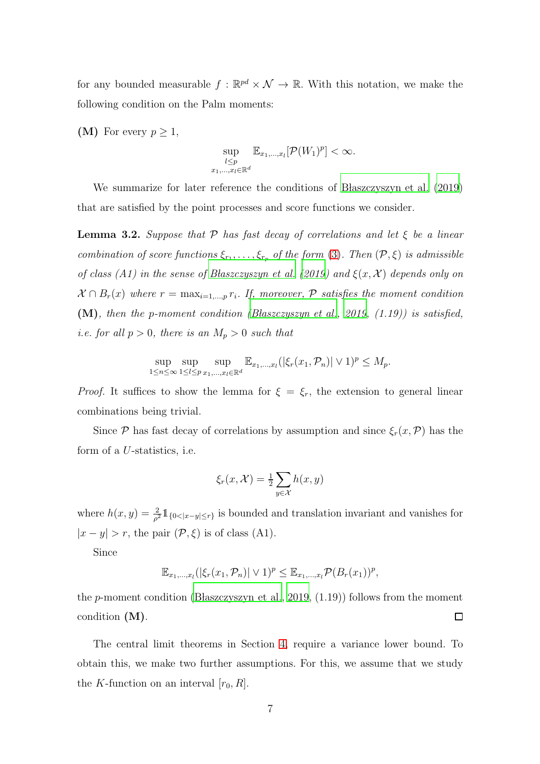for any bounded measurable  $f : \mathbb{R}^{pd} \times \mathcal{N} \to \mathbb{R}$ . With this notation, we make the following condition on the Palm moments:

(M) For every  $p \geq 1$ ,

$$
\sup_{\substack{l\leq p\\x_1,\ldots,x_l\in\mathbb{R}^d}}\mathbb{E}_{x_1,\ldots,x_l}[\mathcal{P}(W_1)^p]<\infty.
$$

We summarize for later reference the conditions of B has z $czyszyn$  et al.  $(2019)$ that are satisfied by the point processes and score functions we consider.

<span id="page-6-0"></span>**Lemma 3.2.** Suppose that P has fast decay of correlations and let  $\xi$  be a linear combination of score functions  $\xi_{r_1}, \ldots, \xi_{r_p}$  of the form [\(3\)](#page-4-1). Then  $(\mathcal{P}, \xi)$  is admissible of class (A1) in the sense of Blaszczyszyn et al. (2019) and  $\xi(x, \mathcal{X})$  depends only on  $\mathcal{X} \cap B_r(x)$  where  $r = \max_{i=1,\dots,p} r_i$ . If, moreover,  $\mathcal{P}$  satisfies the moment condition (M), then the p-moment condition (Blaszczyszyn et al., [2019,](#page-38-2)  $(1.19)$ ) is satisfied, *i.e.* for all  $p > 0$ , there is an  $M_p > 0$  such that

$$
\sup_{1 \le n \le \infty} \sup_{1 \le l \le p} \sup_{x_1, ..., x_l \in \mathbb{R}^d} \mathbb{E}_{x_1, ..., x_l}(|\xi_r(x_1, \mathcal{P}_n)| \vee 1)^p \le M_p.
$$

*Proof.* It suffices to show the lemma for  $\xi = \xi_r$ , the extension to general linear combinations being trivial.

Since P has fast decay of correlations by assumption and since  $\xi_r(x,\mathcal{P})$  has the form of a U-statistics, i.e.

$$
\xi_r(x, \mathcal{X}) = \frac{1}{2} \sum_{y \in \mathcal{X}} h(x, y)
$$

where  $h(x, y) = \frac{2}{\rho^2} 1\!\!1_{\{0 \leq |x-y| \leq r\}}$  is bounded and translation invariant and vanishes for  $|x - y| > r$ , the pair  $(\mathcal{P}, \xi)$  is of class (A1).

Since

$$
\mathbb{E}_{x_1,\ldots,x_l}(|\xi_r(x_1,\mathcal{P}_n)|\vee 1)^p\leq \mathbb{E}_{x_1,\ldots,x_l}\mathcal{P}(B_r(x_1))^p,
$$

the p-moment condition [\(B laszczyszyn et al.](#page-38-2), [2019](#page-38-2),  $(1.19)$ ) follows from the moment condition (M).  $\Box$ 

The central limit theorems in Section [4,](#page-11-1) require a variance lower bound. To obtain this, we make two further assumptions. For this, we assume that we study the K-function on an interval  $[r_0, R]$ .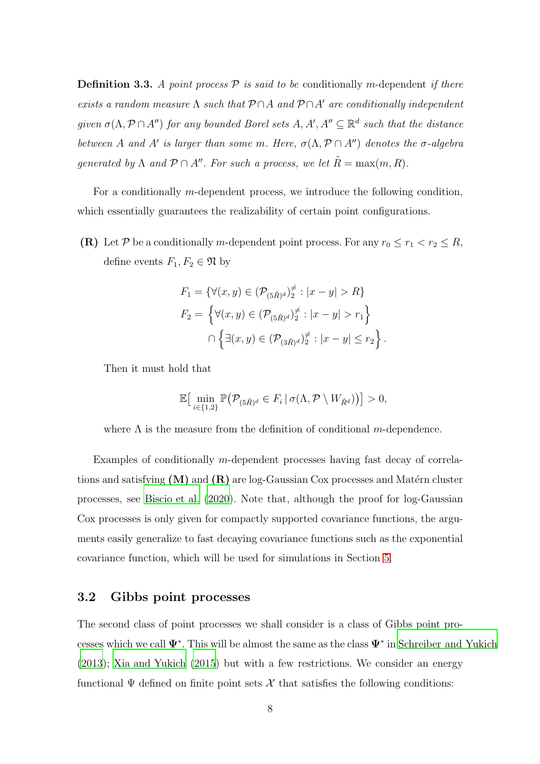**Definition 3.3.** A point process  $\mathcal{P}$  is said to be conditionally m-dependent if there exists a random measure  $\Lambda$  such that  $\mathcal{P} \cap A$  and  $\mathcal{P} \cap A'$  are conditionally independent given  $\sigma(\Lambda, \mathcal{P} \cap A'')$  for any bounded Borel sets  $A, A', A'' \subseteq \mathbb{R}^d$  such that the distance between A and A' is larger than some m. Here,  $\sigma(\Lambda, \mathcal{P} \cap A'')$  denotes the  $\sigma$ -algebra generated by  $\Lambda$  and  $\mathcal{P} \cap A''$ . For such a process, we let  $\tilde{R} = \max(m, R)$ .

For a conditionally m-dependent process, we introduce the following condition, which essentially guarantees the realizability of certain point configurations.

(R) Let P be a conditionally m-dependent point process. For any  $r_0 \le r_1 < r_2 \le R$ , define events  $F_1, F_2 \in \mathfrak{N}$  by

$$
F_1 = \{ \forall (x, y) \in (\mathcal{P}_{(5\tilde{R})^d})_2^{\neq} : |x - y| > R \}
$$
  
\n
$$
F_2 = \{ \forall (x, y) \in (\mathcal{P}_{(5\tilde{R})^d})_2^{\neq} : |x - y| > r_1 \}
$$
  
\n
$$
\cap \{ \exists (x, y) \in (\mathcal{P}_{(3\tilde{R})^d})_2^{\neq} : |x - y| \leq r_2 \}.
$$

Then it must hold that

$$
\mathbb{E}\big[\min_{i\in\{1,2\}}\mathbb{P}\big(\mathcal{P}_{(5\tilde{R})^d}\in F_i\,|\,\sigma(\Lambda,\mathcal{P}\setminus W_{\tilde{R}^d})\big)\big]>0,
$$

where  $\Lambda$  is the measure from the definition of conditional m-dependence.

Examples of conditionally m-dependent processes having fast decay of correlations and satisfying  $(M)$  and  $(R)$  are log-Gaussian Cox processes and Matérn cluster processes, see [Biscio et al. \(2020\)](#page-38-3). Note that, although the proof for log-Gaussian Cox processes is only given for compactly supported covariance functions, the arguments easily generalize to fast decaying covariance functions such as the exponential covariance function, which will be used for simulations in Section [5.](#page-13-0)

### <span id="page-7-0"></span>3.2 Gibbs point processes

The second class of point processes we shall consider is a class of Gibbs point processes which we call  $\Psi^*$ . This will be almost the same as the class  $\Psi^*$  in [Schreiber and Yukich](#page-39-6) [\(2013](#page-39-6)); [Xia and Yukich \(2015\)](#page-40-1) but with a few restrictions. We consider an energy functional  $\Psi$  defined on finite point sets  $\mathcal X$  that satisfies the following conditions: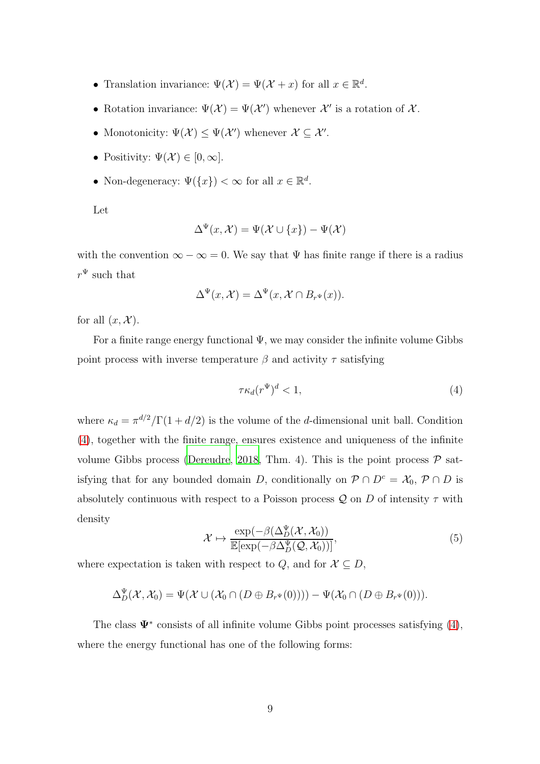- Translation invariance:  $\Psi(\mathcal{X}) = \Psi(\mathcal{X} + x)$  for all  $x \in \mathbb{R}^d$ .
- Rotation invariance:  $\Psi(\mathcal{X}) = \Psi(\mathcal{X}')$  whenever  $\mathcal{X}'$  is a rotation of  $\mathcal{X}$ .
- Monotonicity:  $\Psi(\mathcal{X}) \leq \Psi(\mathcal{X}')$  whenever  $\mathcal{X} \subseteq \mathcal{X}'$ .
- Positivity:  $\Psi(\mathcal{X}) \in [0, \infty]$ .
- Non-degeneracy:  $\Psi({x}) < \infty$  for all  $x \in \mathbb{R}^d$ .

Let

$$
\Delta^{\Psi}(x,\mathcal{X}) = \Psi(\mathcal{X} \cup \{x\}) - \Psi(\mathcal{X})
$$

with the convention  $\infty - \infty = 0$ . We say that  $\Psi$  has finite range if there is a radius  $r^{\Psi}$  such that

$$
\Delta^{\Psi}(x,\mathcal{X}) = \Delta^{\Psi}(x,\mathcal{X} \cap B_{r^{\Psi}}(x)).
$$

for all  $(x, \mathcal{X})$ .

For a finite range energy functional  $\Psi$ , we may consider the infinite volume Gibbs point process with inverse temperature  $\beta$  and activity  $\tau$  satisfying

<span id="page-8-0"></span>
$$
\tau \kappa_d (r^{\Psi})^d < 1,\tag{4}
$$

where  $\kappa_d = \pi^{d/2}/\Gamma(1 + d/2)$  is the volume of the d-dimensional unit ball. Condition [\(4\)](#page-8-0), together with the finite range, ensures existence and uniqueness of the infinite volume Gibbs process [\(Dereudre](#page-38-4), [2018,](#page-38-4) Thm. 4). This is the point process  $P$  satisfying that for any bounded domain D, conditionally on  $\mathcal{P} \cap D^c = \mathcal{X}_0, \mathcal{P} \cap D$  is absolutely continuous with respect to a Poisson process  $\mathcal Q$  on D of intensity  $\tau$  with density

<span id="page-8-1"></span>
$$
\mathcal{X} \mapsto \frac{\exp(-\beta(\Delta_D^{\Psi}(\mathcal{X}, \mathcal{X}_0)))}{\mathbb{E}[\exp(-\beta \Delta_D^{\Psi}(\mathcal{Q}, \mathcal{X}_0))]},\tag{5}
$$

where expectation is taken with respect to Q, and for  $X \subseteq D$ ,

$$
\Delta_D^{\Psi}(\mathcal{X},\mathcal{X}_0)=\Psi(\mathcal{X}\cup(\mathcal{X}_0\cap(D\oplus B_{r^{\Psi}}(0))))-\Psi(\mathcal{X}_0\cap(D\oplus B_{r^{\Psi}}(0))).
$$

The class  $\Psi^*$  consists of all infinite volume Gibbs point processes satisfying  $(4)$ , where the energy functional has one of the following forms: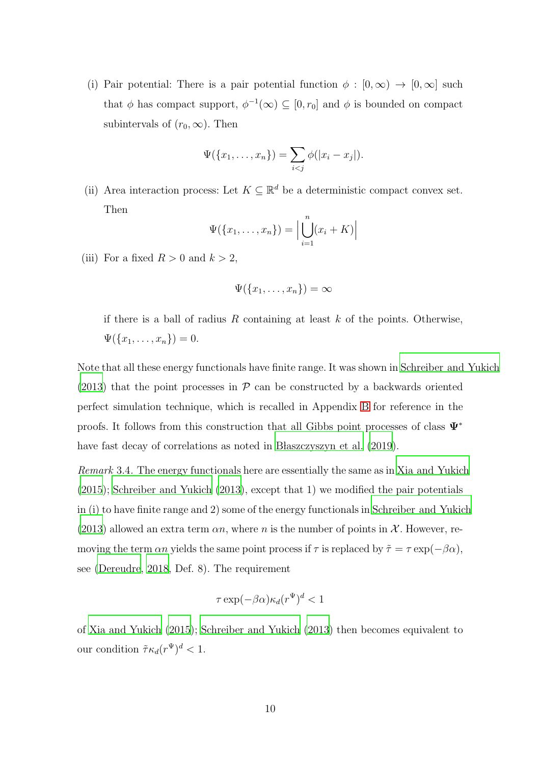(i) Pair potential: There is a pair potential function  $\phi : [0, \infty) \to [0, \infty]$  such that  $\phi$  has compact support,  $\phi^{-1}(\infty) \subseteq [0, r_0]$  and  $\phi$  is bounded on compact subintervals of  $(r_0, \infty)$ . Then

$$
\Psi(\{x_1, ..., x_n\}) = \sum_{i < j} \phi(|x_i - x_j|).
$$

(ii) Area interaction process: Let  $K \subseteq \mathbb{R}^d$  be a deterministic compact convex set. Then

$$
\Psi(\{x_1,\ldots,x_n\})=\Big|\bigcup_{i=1}^n(x_i+K)\Big|
$$

(iii) For a fixed  $R > 0$  and  $k > 2$ ,

$$
\Psi(\{x_1,\ldots,x_n\})=\infty
$$

if there is a ball of radius  $R$  containing at least  $k$  of the points. Otherwise,  $\Psi(\{x_1, \ldots, x_n\}) = 0.$ 

Note that all these energy functionals have finite range. It was shown in [Schreiber and Yukich](#page-39-6) [\(2013](#page-39-6)) that the point processes in  $P$  can be constructed by a backwards oriented perfect simulation technique, which is recalled in Appendix [B](#page-41-0) for reference in the proofs. It follows from this construction that all Gibbs point processes of class  $\Psi^*$ have fast decay of correlations as noted in B laszczyszyn et al.  $(2019)$ .

Remark 3.4. The energy functionals here are essentially the same as in [Xia and Yukich](#page-40-1) [\(2015](#page-40-1)); [Schreiber and Yukich \(2013](#page-39-6)), except that 1) we modified the pair potentials in (i) to have finite range and 2) some of the energy functionals in [Schreiber and Yukich](#page-39-6) [\(2013](#page-39-6)) allowed an extra term  $\alpha n$ , where n is the number of points in X. However, removing the term  $\alpha n$  yields the same point process if  $\tau$  is replaced by  $\tilde{\tau} = \tau \exp(-\beta \alpha)$ , see [\(Dereudre](#page-38-4), [2018,](#page-38-4) Def. 8). The requirement

$$
\tau \exp(-\beta \alpha) \kappa_d (r^{\Psi})^d < 1
$$

of [Xia and Yukich \(2015\)](#page-40-1); [Schreiber and Yukich \(2013\)](#page-39-6) then becomes equivalent to our condition  $\tilde{\tau} \kappa_d (r^{\Psi})^d < 1$ .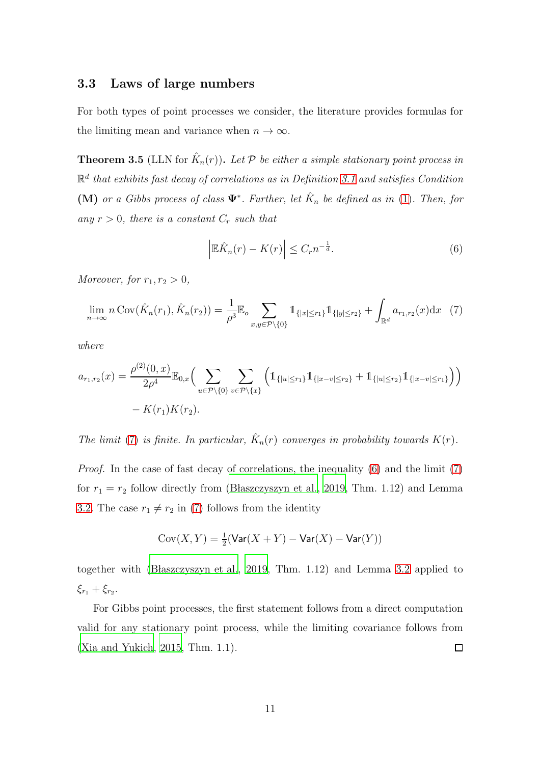## <span id="page-10-1"></span>3.3 Laws of large numbers

For both types of point processes we consider, the literature provides formulas for the limiting mean and variance when  $n \to \infty$ .

<span id="page-10-0"></span>**Theorem 3.5** (LLN for  $\hat{K}_n(r)$ ). Let  $\mathcal{P}$  be either a simple stationary point process in  $\mathbb{R}^d$  that exhibits fast decay of correlations as in Definition [3.1](#page-5-0) and satisfies Condition (M) or a Gibbs process of class  $\Psi^*$ . Further, let  $\hat{K}_n$  be defined as in [\(1\)](#page-3-0). Then, for any  $r > 0$ , there is a constant  $C_r$  such that

<span id="page-10-3"></span>
$$
\left| \mathbb{E}\hat{K}_n(r) - K(r) \right| \leq C_r n^{-\frac{1}{d}}.
$$
\n<sup>(6)</sup>

Moreover, for  $r_1, r_2 > 0$ ,

<span id="page-10-2"></span>
$$
\lim_{n \to \infty} n \operatorname{Cov}(\hat{K}_n(r_1), \hat{K}_n(r_2)) = \frac{1}{\rho^3} \mathbb{E}_o \sum_{x, y \in \mathcal{P} \setminus \{0\}} \mathbb{1}_{\{|x| \le r_1\}} \mathbb{1}_{\{|y| \le r_2\}} + \int_{\mathbb{R}^d} a_{r_1, r_2}(x) dx \tag{7}
$$

where

$$
a_{r_1,r_2}(x) = \frac{\rho^{(2)}(0,x)}{2\rho^4} \mathbb{E}_{0,x} \Big( \sum_{u \in \mathcal{P} \setminus \{0\}} \sum_{v \in \mathcal{P} \setminus \{x\}} \Big( \mathbb{1}_{\{|u| \le r_1\}} \mathbb{1}_{\{|x-v| \le r_2\}} + \mathbb{1}_{\{|u| \le r_2\}} \mathbb{1}_{\{|x-v| \le r_1\}} \Big) \Big)
$$
  
- K(r\_1) K(r\_2).

The limit [\(7\)](#page-10-2) is finite. In particular,  $\hat{K}_n(r)$  converges in probability towards  $K(r)$ .

Proof. In the case of fast decay of correlations, the inequality [\(6\)](#page-10-3) and the limit [\(7\)](#page-10-2) for  $r_1 = r_2$  follow directly from (Błaszczyszyn et al., 2019, Thm. 1.12) and Lemma [3.2.](#page-6-0) The case  $r_1 \neq r_2$  in [\(7\)](#page-10-2) follows from the identity

$$
\mathrm{Cov}(X,Y)=\tfrac{1}{2}(\mathrm{Var}(X+Y)-\mathrm{Var}(X)-\mathrm{Var}(Y))
$$

together with (Blaszczyszyn et al., [2019,](#page-38-2) Thm. 1.12) and Lemma [3.2](#page-6-0) applied to  $\xi_{r_1} + \xi_{r_2}$ .

For Gibbs point processes, the first statement follows from a direct computation valid for any stationary point process, while the limiting covariance follows from [\(Xia and Yukich](#page-40-1), [2015,](#page-40-1) Thm. 1.1).  $\Box$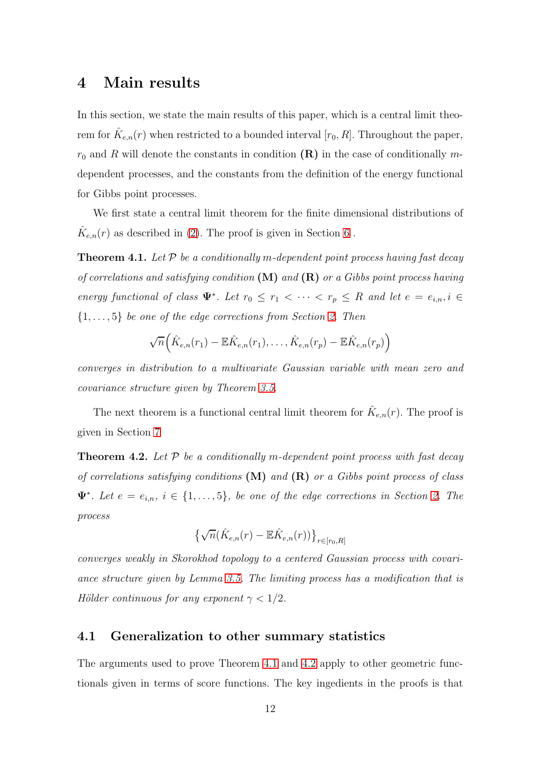## <span id="page-11-1"></span>4 Main results

In this section, we state the main results of this paper, which is a central limit theorem for  $\hat{K}_{e,n}(r)$  when restricted to a bounded interval  $[r_0, R]$ . Throughout the paper,  $r_0$  and R will denote the constants in condition  $(\mathbf{R})$  in the case of conditionally mdependent processes, and the constants from the definition of the energy functional for Gibbs point processes.

We first state a central limit theorem for the finite dimensional distributions of  $\hat{K}_{e,n}(r)$  as described in [\(2\)](#page-3-1). The proof is given in Section [6](#page-17-0).

<span id="page-11-3"></span>**Theorem 4.1.** Let  $P$  be a conditionally m-dependent point process having fast decay of correlations and satisfying condition  $(M)$  and  $(R)$  or a Gibbs point process having energy functional of class  $\Psi^*$ . Let  $r_0 \leq r_1 < \cdots < r_p \leq R$  and let  $e = e_{i,n}, i \in$  $\{1, \ldots, 5\}$  be one of the edge corrections from Section [2.](#page-2-0) Then

$$
\sqrt{n}\Big(\hat{K}_{e,n}(r_1)-\mathbb{E}\hat{K}_{e,n}(r_1),\ldots,\hat{K}_{e,n}(r_p)-\mathbb{E}\hat{K}_{e,n}(r_p)\Big)
$$

converges in distribution to a multivariate Gaussian variable with mean zero and covariance structure given by Theorem [3.5.](#page-10-0)

The next theorem is a functional central limit theorem for  $\hat{K}_{e,n}(r)$ . The proof is given in Section [7](#page-25-0)

<span id="page-11-0"></span>**Theorem 4.2.** Let  $P$  be a conditionally m-dependent point process with fast decay of correlations satisfying conditions  $(M)$  and  $(R)$  or a Gibbs point process of class  $\Psi^*$ . Let  $e = e_{i,n}, i \in \{1, \ldots, 5\}$ , be one of the edge corrections in Section [2.](#page-2-0) The process

$$
\left\{\sqrt{n}\big(\hat{K}_{e,n}(r)-\mathbb{E}\hat{K}_{e,n}(r)\big)\right\}_{r\in[r_0,R]}
$$

converges weakly in Skorokhod topology to a centered Gaussian process with covariance structure given by Lemma [3.5.](#page-10-0) The limiting process has a modification that is Hölder continuous for any exponent  $\gamma < 1/2$ .

#### <span id="page-11-2"></span>4.1 Generalization to other summary statistics

The arguments used to prove Theorem [4.1](#page-11-3) and [4.2](#page-11-0) apply to other geometric functionals given in terms of score functions. The key ingedients in the proofs is that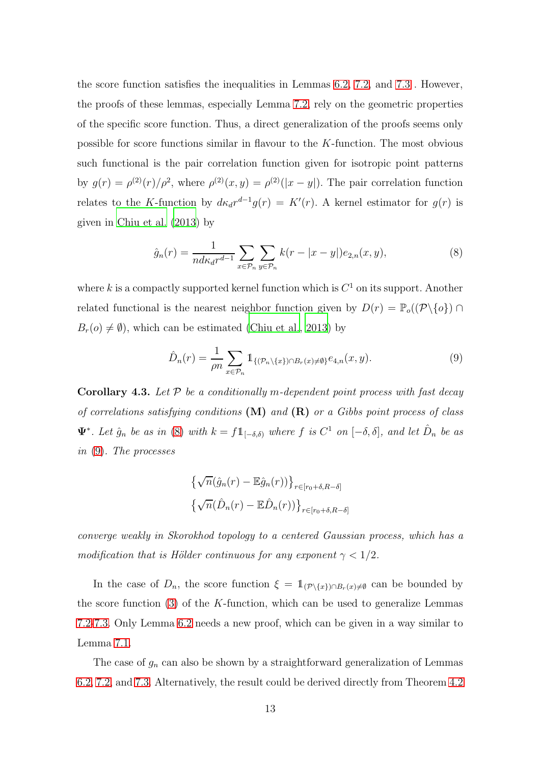the score function satisfies the inequalities in Lemmas [6.2,](#page-17-1) [7.2,](#page-30-0) and [7.3](#page-32-0) . However, the proofs of these lemmas, especially Lemma [7.2,](#page-30-0) rely on the geometric properties of the specific score function. Thus, a direct generalization of the proofs seems only possible for score functions similar in flavour to the K-function. The most obvious such functional is the pair correlation function given for isotropic point patterns by  $g(r) = \rho^{(2)}(r)/\rho^2$ , where  $\rho^{(2)}(x, y) = \rho^{(2)}(|x - y|)$ . The pair correlation function relates to the K-function by  $d\kappa_d r^{d-1}g(r) = K'(r)$ . A kernel estimator for  $g(r)$  is given in [Chiu et al. \(2013\)](#page-38-0) by

<span id="page-12-0"></span>
$$
\hat{g}_n(r) = \frac{1}{n d\kappa_d r^{d-1}} \sum_{x \in \mathcal{P}_n} \sum_{y \in \mathcal{P}_n} k(r - |x - y|) e_{2,n}(x, y), \tag{8}
$$

where k is a compactly supported kernel function which is  $C^1$  on its support. Another related functional is the nearest neighbor function given by  $D(r) = \mathbb{P}_{o}((\mathcal{P}\setminus\{o\}) \cap$  $B_r(o) \neq \emptyset$ , which can be estimated [\(Chiu et al.](#page-38-0), [2013\)](#page-38-0) by

<span id="page-12-1"></span>
$$
\hat{D}_n(r) = \frac{1}{\rho n} \sum_{x \in \mathcal{P}_n} \mathbb{1}_{\{(\mathcal{P}_n \setminus \{x\}) \cap B_r(x) \neq \emptyset\}} e_{4,n}(x, y). \tag{9}
$$

**Corollary 4.3.** Let  $P$  be a conditionally m-dependent point process with fast decay of correlations satisfying conditions  $(M)$  and  $(R)$  or a Gibbs point process of class  $\Psi^*$ . Let  $\hat{g}_n$  be as in [\(8\)](#page-12-0) with  $k = f1_{[-\delta,\delta)}$  where f is  $C^1$  on  $[-\delta,\delta]$ , and let  $\hat{D}_n$  be as in [\(9\)](#page-12-1). The processes

$$
\begin{aligned} & \left\{ \sqrt{n}(\hat{g}_n(r) - \mathbb{E}\hat{g}_n(r)) \right\}_{r \in [r_0 + \delta, R - \delta]} \\ & \left\{ \sqrt{n}(\hat{D}_n(r) - \mathbb{E}\hat{D}_n(r)) \right\}_{r \in [r_0 + \delta, R - \delta]} \end{aligned}
$$

converge weakly in Skorokhod topology to a centered Gaussian process, which has a modification that is Hölder continuous for any exponent  $\gamma < 1/2$ .

In the case of  $D_n$ , the score function  $\xi = \mathbb{1}_{(\mathcal{P}\backslash\{x\})\cap B_r(x)\neq\emptyset}$  can be bounded by the score function  $(3)$  of the K-function, which can be used to generalize Lemmas [7.2-](#page-30-0)[7.3.](#page-32-0) Only Lemma [6.2](#page-17-1) needs a new proof, which can be given in a way similar to Lemma [7.1.](#page-25-1)

The case of  $g_n$  can also be shown by a straightforward generalization of Lemmas [6.2,](#page-17-1) [7.2,](#page-30-0) and [7.3.](#page-32-0) Alternatively, the result could be derived directly from Theorem [4.2](#page-11-0)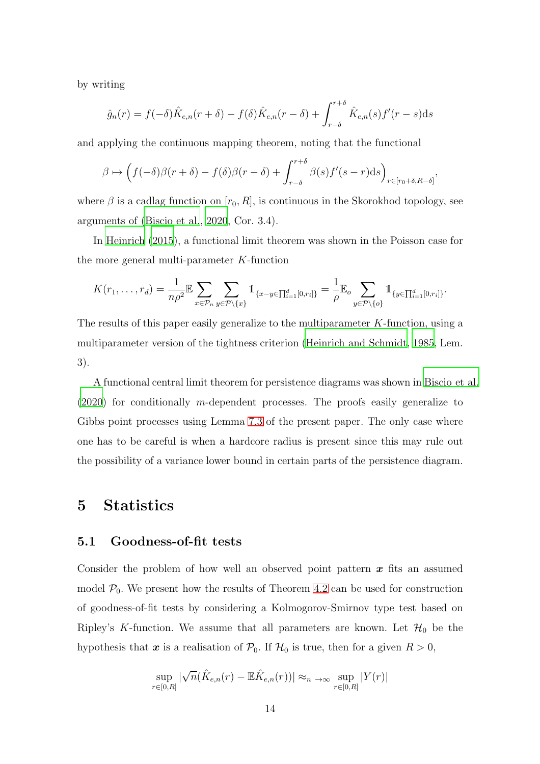by writing

$$
\hat{g}_n(r) = f(-\delta)\hat{K}_{e,n}(r+\delta) - f(\delta)\hat{K}_{e,n}(r-\delta) + \int_{r-\delta}^{r+\delta} \hat{K}_{e,n}(s)f'(r-s)ds
$$

and applying the continuous mapping theorem, noting that the functional

$$
\beta \mapsto \left(f(-\delta)\beta(r+\delta) - f(\delta)\beta(r-\delta) + \int_{r-\delta}^{r+\delta} \beta(s)f'(s-r)\mathrm{d}s\right)_{r\in[r_0+\delta,R-\delta]},
$$

where  $\beta$  is a cadlag function on  $[r_0, R]$ , is continuous in the Skorokhod topology, see arguments of [\(Biscio et al.](#page-38-3), [2020,](#page-38-3) Cor. 3.4).

In [Heinrich \(2015](#page-39-3)), a functional limit theorem was shown in the Poisson case for the more general multi-parameter K-function

$$
K(r_1,\ldots,r_d) = \frac{1}{n\rho^2} \mathbb{E} \sum_{x \in \mathcal{P}_n} \sum_{y \in \mathcal{P} \setminus \{x\}} 1_{\{x-y \in \prod_{i=1}^d [0,r_i]\}} = \frac{1}{\rho} \mathbb{E}_o \sum_{y \in \mathcal{P} \setminus \{o\}} 1_{\{y \in \prod_{i=1}^d [0,r_i]\}}.
$$

The results of this paper easily generalize to the multiparameter K-function, using a multiparameter version of the tightness criterion [\(Heinrich and Schmidt](#page-39-7), [1985](#page-39-7), Lem. 3).

A functional central limit theorem for persistence diagrams was shown in [Biscio et al.](#page-38-3) [\(2020](#page-38-3)) for conditionally m-dependent processes. The proofs easily generalize to Gibbs point processes using Lemma [7.3](#page-32-0) of the present paper. The only case where one has to be careful is when a hardcore radius is present since this may rule out the possibility of a variance lower bound in certain parts of the persistence diagram.

## <span id="page-13-1"></span><span id="page-13-0"></span>5 Statistics

## 5.1 Goodness-of-fit tests

Consider the problem of how well an observed point pattern  $x$  fits an assumed model  $P_0$ . We present how the results of Theorem [4.2](#page-11-0) can be used for construction of goodness-of-fit tests by considering a Kolmogorov-Smirnov type test based on Ripley's K-function. We assume that all parameters are known. Let  $\mathcal{H}_0$  be the hypothesis that  $x$  is a realisation of  $\mathcal{P}_0$ . If  $\mathcal{H}_0$  is true, then for a given  $R > 0$ ,

$$
\sup_{r \in [0,R]} |\sqrt{n}(\hat{K}_{e,n}(r) - \mathbb{E}\hat{K}_{e,n}(r))| \approx_{n \to \infty} \sup_{r \in [0,R]} |Y(r)|
$$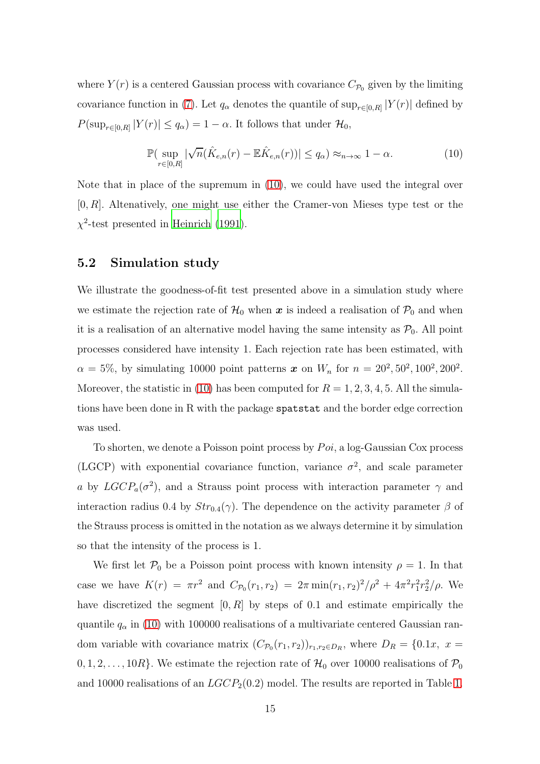where  $Y(r)$  is a centered Gaussian process with covariance  $C_{\mathcal{P}_0}$  given by the limiting covariance function in [\(7\)](#page-10-2). Let  $q_{\alpha}$  denotes the quantile of  $\sup_{r\in[0,R]}|Y(r)|$  defined by  $P(\sup_{r\in[0,R]}|Y(r)|\leq q_\alpha)=1-\alpha.$  It follows that under  $\mathcal{H}_0$ ,

<span id="page-14-0"></span>
$$
\mathbb{P}(\sup_{r\in[0,R]}|\sqrt{n}(\hat{K}_{e,n}(r)-\mathbb{E}\hat{K}_{e,n}(r))| \leq q_{\alpha}) \approx_{n\to\infty} 1-\alpha.
$$
 (10)

Note that in place of the supremum in [\(10\)](#page-14-0), we could have used the integral over  $[0, R]$ . Altenatively, one might use either the Cramer-von Mieses type test or the  $\chi^2$ -test presented in [Heinrich \(1991\)](#page-39-1).

#### 5.2 Simulation study

We illustrate the goodness-of-fit test presented above in a simulation study where we estimate the rejection rate of  $\mathcal{H}_0$  when  $\boldsymbol{x}$  is indeed a realisation of  $\mathcal{P}_0$  and when it is a realisation of an alternative model having the same intensity as  $P_0$ . All point processes considered have intensity 1. Each rejection rate has been estimated, with  $\alpha = 5\%,$  by simulating 10000 point patterns  $\bm{x}$  on  $W_n$  for  $n = 20^2, 50^2, 100^2, 200^2$ . Moreover, the statistic in [\(10\)](#page-14-0) has been computed for  $R = 1, 2, 3, 4, 5$ . All the simulations have been done in R with the package spatstat and the border edge correction was used.

To shorten, we denote a Poisson point process by  $Poi$ , a log-Gaussian Cox process (LGCP) with exponential covariance function, variance  $\sigma^2$ , and scale parameter a by  $LGCP_a(\sigma^2)$ , and a Strauss point process with interaction parameter  $\gamma$  and interaction radius 0.4 by  $Str_{0.4}(\gamma)$ . The dependence on the activity parameter  $\beta$  of the Strauss process is omitted in the notation as we always determine it by simulation so that the intensity of the process is 1.

We first let  $\mathcal{P}_0$  be a Poisson point process with known intensity  $\rho = 1$ . In that case we have  $K(r) = \pi r^2$  and  $C_{\mathcal{P}_0}(r_1, r_2) = 2\pi \min(r_1, r_2)^2/\rho^2 + 4\pi^2 r_1^2 r_2^2/\rho$ . We have discretized the segment  $[0, R]$  by steps of 0.1 and estimate empirically the quantile  $q_{\alpha}$  in [\(10\)](#page-14-0) with 100000 realisations of a multivariate centered Gaussian random variable with covariance matrix  $(C_{\mathcal{P}_0}(r_1, r_2))_{r_1, r_2 \in D_R}$ , where  $D_R = \{0.1x, x =$  $0, 1, 2, \ldots, 10R$ . We estimate the rejection rate of  $\mathcal{H}_0$  over 10000 realisations of  $\mathcal{P}_0$ and 10000 realisations of an  $LGCP_2(0.2)$  model. The results are reported in Table [1.](#page-15-0)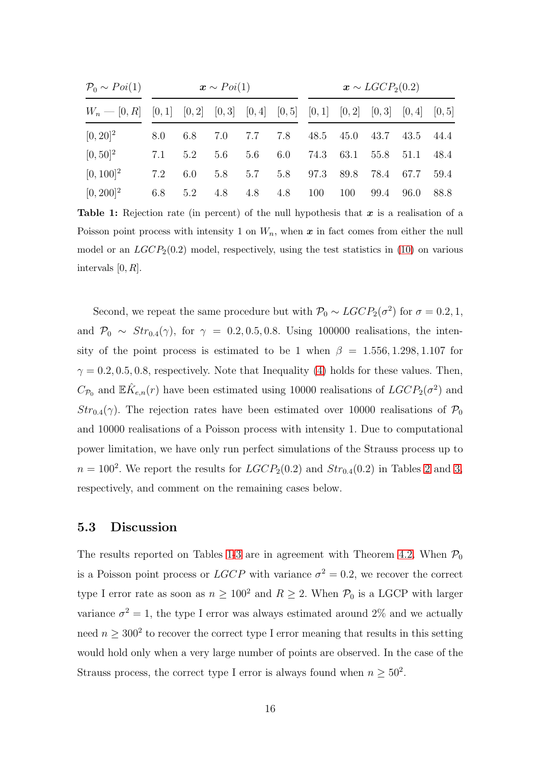<span id="page-15-0"></span>

| $P_0 \sim Poi(1)$                                                                    |     |     | $\mathbf{x} \sim Poi(1)$ |         |                 | $\boldsymbol{x} \sim LGCP_2(0.2)$ |               |      |                          |      |  |
|--------------------------------------------------------------------------------------|-----|-----|--------------------------|---------|-----------------|-----------------------------------|---------------|------|--------------------------|------|--|
| $W_n$ - [0, R] [0, 1] [0, 2] [0, 3] [0, 4] [0, 5] [0, 1] [0, 2] [0, 3] [0, 4] [0, 5] |     |     |                          |         |                 |                                   |               |      |                          |      |  |
| $[0, 20]^{2}$                                                                        | 8.0 | 6.8 |                          | 7.0 7.7 | 7.8             |                                   |               |      | 48.5 45.0 43.7 43.5 44.4 |      |  |
| $[0, 50]^{2}$                                                                        | 7.1 | 5.2 | 5.6                      | 5.6     |                 | 6.0 74.3 63.1                     |               |      | 55.8 51.1 48.4           |      |  |
| $[0, 100]^{2}$                                                                       | 7.2 | 6.0 | 5.8                      | 5.7     |                 |                                   | 5.8 97.3 89.8 |      | 78.4 67.7 59.4           |      |  |
| $[0, 200]^{2}$                                                                       | 6.8 | 5.2 |                          |         | 4.8 4.8 4.8 100 |                                   | 100           | 99.4 | - 96.0                   | 88.8 |  |

**Table 1:** Rejection rate (in percent) of the null hypothesis that  $x$  is a realisation of a Poisson point process with intensity 1 on  $W_n$ , when  $x$  in fact comes from either the null model or an  $LGCP_2(0.2)$  model, respectively, using the test statistics in [\(10\)](#page-14-0) on various intervals  $[0, R]$ .

Second, we repeat the same procedure but with  $\mathcal{P}_0 \sim LGCP_2(\sigma^2)$  for  $\sigma = 0.2, 1$ , and  $\mathcal{P}_0 \sim Str_{0.4}(\gamma)$ , for  $\gamma = 0.2, 0.5, 0.8$ . Using 100000 realisations, the intensity of the point process is estimated to be 1 when  $\beta = 1.556, 1.298, 1.107$  for  $\gamma = 0.2, 0.5, 0.8$ , respectively. Note that Inequality [\(4\)](#page-8-0) holds for these values. Then,  $C_{\mathcal{P}_0}$  and  $\mathbb{E} \hat{K}_{e,n}(r)$  have been estimated using 10000 realisations of  $LGCP_2(\sigma^2)$  and  $Str_{0.4}(\gamma)$ . The rejection rates have been estimated over 10000 realisations of  $\mathcal{P}_0$ and 10000 realisations of a Poisson process with intensity 1. Due to computational power limitation, we have only run perfect simulations of the Strauss process up to  $n = 100^2$ . We report the results for  $LGCP_2(0.2)$  and  $Str_{0.4}(0.2)$  in Tables [2](#page-16-0) and [3,](#page-16-1) respectively, and comment on the remaining cases below.

### 5.3 Discussion

The results reported on Tables [1-](#page-15-0)[3](#page-16-1) are in agreement with Theorem [4.2.](#page-11-0) When  $P_0$ is a Poisson point process or  $LGCP$  with variance  $\sigma^2 = 0.2$ , we recover the correct type I error rate as soon as  $n \geq 100^2$  and  $R \geq 2$ . When  $P_0$  is a LGCP with larger variance  $\sigma^2 = 1$ , the type I error was always estimated around 2% and we actually need  $n \geq 300^2$  to recover the correct type I error meaning that results in this setting would hold only when a very large number of points are observed. In the case of the Strauss process, the correct type I error is always found when  $n \geq 50^2$ .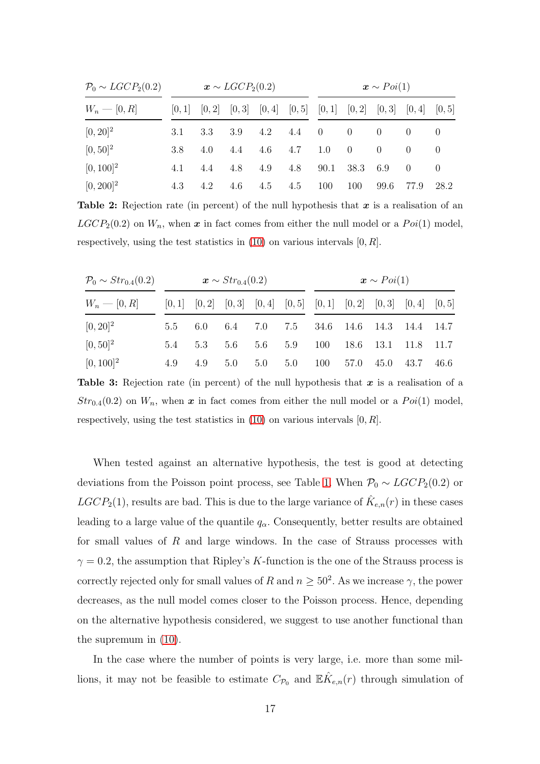<span id="page-16-0"></span>

| $P_0 \sim LGCP_2(0.2)$ |     |     | $\boldsymbol{x} \sim LGCP_2(0.2)$                                               |     |     | $\mathbf{x} \sim Poi(1)$ |                |          |          |      |
|------------------------|-----|-----|---------------------------------------------------------------------------------|-----|-----|--------------------------|----------------|----------|----------|------|
| $W_n - [0, R]$         |     |     | $[0,1]$ $[0,2]$ $[0,3]$ $[0,4]$ $[0,5]$ $[0,1]$ $[0,2]$ $[0,3]$ $[0,4]$ $[0,5]$ |     |     |                          |                |          |          |      |
| $[0, 20]^{2}$          | 3.1 | 3.3 | 3.9                                                                             | 4.2 | 4.4 | $\overline{0}$           | $\overline{0}$ | $\Omega$ |          |      |
| $[0, 50]^{2}$          | 3.8 | 4.0 | 4.4                                                                             | 4.6 | 4.7 | 1.0                      | $\overline{0}$ | $\Omega$ | $\Omega$ |      |
| $[0, 100]^{2}$         | 4.1 | 4.4 | 4.8                                                                             | 4.9 | 4.8 | 90.1                     | 38.3           | 6.9      | $\Box$ 0 |      |
| $[0, 200]^{2}$         | 4.3 | 4.2 | 4.6                                                                             | 4.5 | 4.5 | 100                      | 100            | 99.6     | 77.9     | 28.2 |

**Table 2:** Rejection rate (in percent) of the null hypothesis that  $x$  is a realisation of an  $LGCP<sub>2</sub>(0.2)$  on  $W<sub>n</sub>$ , when x in fact comes from either the null model or a  $Poi(1)$  model, respectively, using the test statistics in  $(10)$  on various intervals  $[0, R]$ .

<span id="page-16-1"></span>

| $\mathcal{P}_0 \sim Str_{0.4}(0.2)$ | $x \sim Str_{0.4}(0.2)$ |         |  |  |  | $\bm{x} \sim Poi(1)$                                                            |  |  |  |  |  |
|-------------------------------------|-------------------------|---------|--|--|--|---------------------------------------------------------------------------------|--|--|--|--|--|
| $W_n = [0, R]$                      |                         |         |  |  |  | $[0,1]$ $[0,2]$ $[0,3]$ $[0,4]$ $[0,5]$ $[0,1]$ $[0,2]$ $[0,3]$ $[0,4]$ $[0,5]$ |  |  |  |  |  |
| $[0, 20]^{2}$                       | 5.5                     |         |  |  |  | 6.0 6.4 7.0 7.5 34.6 14.6 14.3 14.4 14.7                                        |  |  |  |  |  |
| $[0, 50]^{2}$                       |                         | 5.4 5.3 |  |  |  | 5.6 5.6 5.9 100 18.6 13.1 11.8 11.7                                             |  |  |  |  |  |
| $[0, 100]^2$                        | 4.9                     | 4.9     |  |  |  | 5.0 5.0 5.0 100 57.0 45.0 43.7 46.6                                             |  |  |  |  |  |

**Table 3:** Rejection rate (in percent) of the null hypothesis that  $x$  is a realisation of a  $Str_{0.4}(0.2)$  on  $W_n$ , when x in fact comes from either the null model or a  $Poi(1)$  model, respectively, using the test statistics in  $(10)$  on various intervals  $[0, R]$ .

When tested against an alternative hypothesis, the test is good at detecting deviations from the Poisson point process, see Table [1.](#page-15-0) When  $P_0 \sim LGCP_2(0.2)$  or  $LGCP_2(1)$ , results are bad. This is due to the large variance of  $\hat{K}_{e,n}(r)$  in these cases leading to a large value of the quantile  $q_\alpha$ . Consequently, better results are obtained for small values of  $R$  and large windows. In the case of Strauss processes with  $\gamma = 0.2$ , the assumption that Ripley's K-function is the one of the Strauss process is correctly rejected only for small values of R and  $n \geq 50^2$ . As we increase  $\gamma$ , the power decreases, as the null model comes closer to the Poisson process. Hence, depending on the alternative hypothesis considered, we suggest to use another functional than the supremum in [\(10\)](#page-14-0).

In the case where the number of points is very large, i.e. more than some millions, it may not be feasible to estimate  $C_{\mathcal{P}_0}$  and  $\mathbb{E} \hat{K}_{e,n}(r)$  through simulation of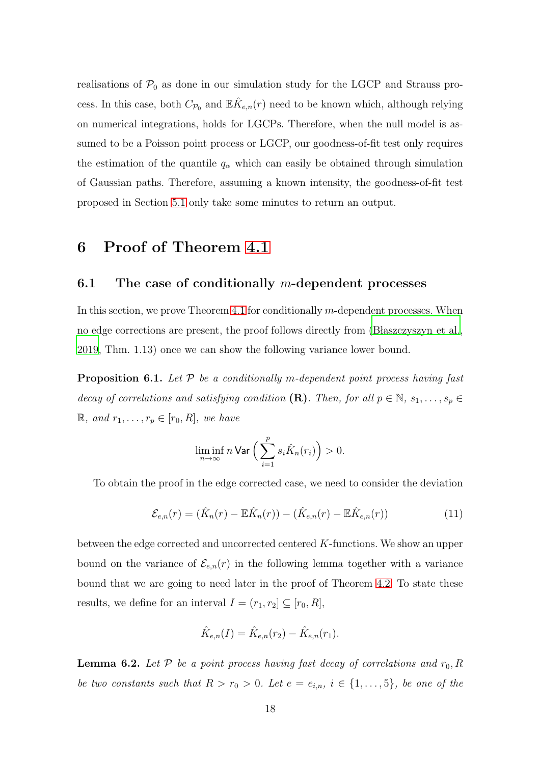realisations of  $P_0$  as done in our simulation study for the LGCP and Strauss process. In this case, both  $C_{\mathcal{P}_0}$  and  $\mathbb{E} \hat{K}_{e,n}(r)$  need to be known which, although relying on numerical integrations, holds for LGCPs. Therefore, when the null model is assumed to be a Poisson point process or LGCP, our goodness-of-fit test only requires the estimation of the quantile  $q_{\alpha}$  which can easily be obtained through simulation of Gaussian paths. Therefore, assuming a known intensity, the goodness-of-fit test proposed in Section [5.1](#page-13-1) only take some minutes to return an output.

# <span id="page-17-0"></span>6 Proof of Theorem [4.1](#page-11-3)

## 6.1 The case of conditionally m-dependent processes

In this section, we prove Theorem [4.1](#page-11-3) for conditionally  $m$ -dependent processes. When no edge corrections are present, the proof follows directly from [\(B laszczyszyn et al.,](#page-38-2) [2019,](#page-38-2) Thm. 1.13) once we can show the following variance lower bound.

<span id="page-17-2"></span>**Proposition 6.1.** Let  $P$  be a conditionally m-dependent point process having fast decay of correlations and satisfying condition  $(\mathbf{R})$ . Then, for all  $p \in \mathbb{N}$ ,  $s_1, \ldots, s_p \in$  $\mathbb{R}, \text{ and } r_1, \ldots, r_p \in [r_0, R], \text{ we have}$ 

$$
\liminf_{n\to\infty} n \operatorname{\sf Var} \Big( \sum_{i=1}^p s_i \hat K_n(r_i) \Big) > 0.
$$

To obtain the proof in the edge corrected case, we need to consider the deviation

$$
\mathcal{E}_{e,n}(r) = (\hat{K}_n(r) - \mathbb{E}\hat{K}_n(r)) - (\hat{K}_{e,n}(r) - \mathbb{E}\hat{K}_{e,n}(r))
$$
\n(11)

between the edge corrected and uncorrected centered K-functions. We show an upper bound on the variance of  $\mathcal{E}_{e,n}(r)$  in the following lemma together with a variance bound that we are going to need later in the proof of Theorem [4.2.](#page-11-0) To state these results, we define for an interval  $I = (r_1, r_2] \subseteq [r_0, R]$ ,

$$
\hat{K}_{e,n}(I) = \hat{K}_{e,n}(r_2) - \hat{K}_{e,n}(r_1).
$$

<span id="page-17-1"></span>**Lemma 6.2.** Let  $P$  be a point process having fast decay of correlations and  $r_0$ , R be two constants such that  $R > r_0 > 0$ . Let  $e = e_{i,n}$ ,  $i \in \{1, ..., 5\}$ , be one of the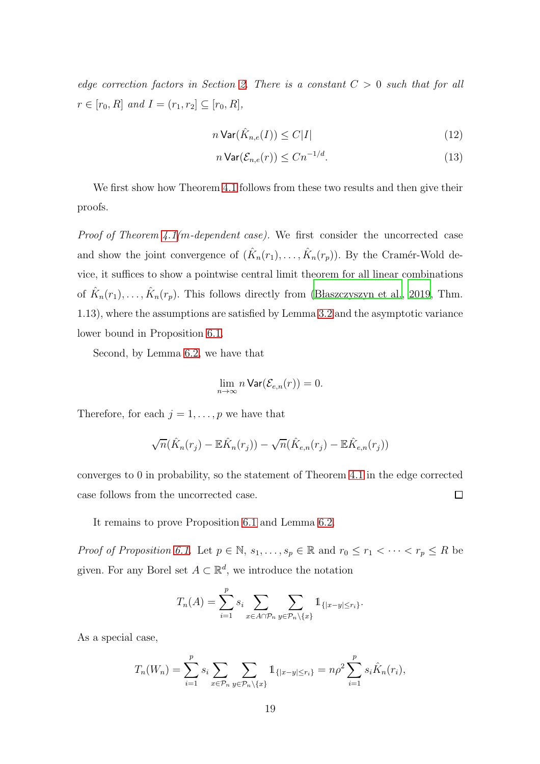edge correction factors in Section [2.](#page-2-0) There is a constant  $C > 0$  such that for all  $r \in [r_0, R]$  and  $I = (r_1, r_2] \subseteq [r_0, R]$ ,

$$
n \operatorname{Var}(\hat{K}_{n,e}(I)) \le C|I| \tag{12}
$$

<span id="page-18-1"></span><span id="page-18-0"></span>
$$
n\operatorname{Var}(\mathcal{E}_{n,e}(r)) \le Cn^{-1/d}.\tag{13}
$$

We first show how Theorem [4.1](#page-11-3) follows from these two results and then give their proofs.

*Proof of Theorem [4.1\(](#page-11-3)m-dependent case)*. We first consider the uncorrected case and show the joint convergence of  $(\hat{K}_n(r_1), \ldots, \hat{K}_n(r_p))$ . By the Cramér-Wold device, it suffices to show a pointwise central limit theorem for all linear combinations of  $\hat{K}_n(r_1), \ldots, \hat{K}_n(r_p)$ . This follows directly from (Blaszczyszyn et al., 2019, Thm. 1.13), where the assumptions are satisfied by Lemma [3.2](#page-6-0) and the asymptotic variance lower bound in Proposition [6.1.](#page-17-2)

Second, by Lemma [6.2,](#page-17-1) we have that

$$
\lim_{n\to\infty} n \operatorname{Var}(\mathcal{E}_{e,n}(r))=0.
$$

Therefore, for each  $j = 1, \ldots, p$  we have that

$$
\sqrt{n}(\hat{K}_n(r_j) - \mathbb{E}\hat{K}_n(r_j)) - \sqrt{n}(\hat{K}_{e,n}(r_j) - \mathbb{E}\hat{K}_{e,n}(r_j))
$$

converges to 0 in probability, so the statement of Theorem [4.1](#page-11-3) in the edge corrected  $\Box$ case follows from the uncorrected case.

It remains to prove Proposition [6.1](#page-17-2) and Lemma [6.2.](#page-17-1)

*Proof of Proposition [6.1.](#page-17-2)* Let  $p \in \mathbb{N}$ ,  $s_1, \ldots, s_p \in \mathbb{R}$  and  $r_0 \leq r_1 < \cdots < r_p \leq R$  be given. For any Borel set  $A \subset \mathbb{R}^d$ , we introduce the notation

$$
T_n(A) = \sum_{i=1}^p s_i \sum_{x \in A \cap \mathcal{P}_n} \sum_{y \in \mathcal{P}_n \setminus \{x\}} 1_{\{|x-y| \le r_i\}}.
$$

As a special case,

$$
T_n(W_n) = \sum_{i=1}^p s_i \sum_{x \in \mathcal{P}_n} \sum_{y \in \mathcal{P}_n \setminus \{x\}} 1_{\{|x-y| \le r_i\}} = n\rho^2 \sum_{i=1}^p s_i \hat{K}_n(r_i),
$$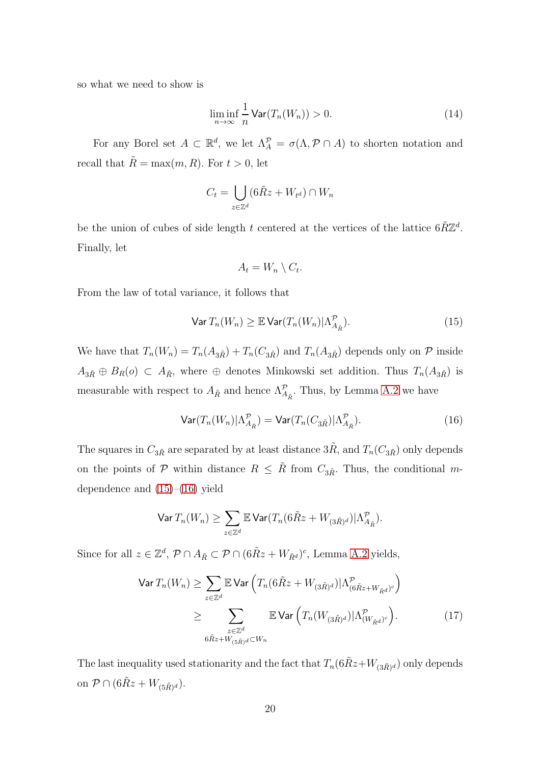so what we need to show is

<span id="page-19-3"></span>
$$
\liminf_{n \to \infty} \frac{1}{n} \text{Var}(T_n(W_n)) > 0. \tag{14}
$$

For any Borel set  $A \subset \mathbb{R}^d$ , we let  $\Lambda_A^{\mathcal{P}} = \sigma(\Lambda, \mathcal{P} \cap A)$  to shorten notation and recall that  $\tilde{R} = \max(m, R)$ . For  $t > 0$ , let

$$
C_t = \bigcup_{z \in \mathbb{Z}^d} (6\tilde{R}z + W_{t^d}) \cap W_n
$$

be the union of cubes of side length t centered at the vertices of the lattice  $6\tilde{R}\mathbb{Z}^d$ . Finally, let

$$
A_t = W_n \setminus C_t.
$$

From the law of total variance, it follows that

<span id="page-19-0"></span>
$$
\text{Var } T_n(W_n) \geq \mathbb{E} \text{Var}(T_n(W_n) | \Lambda_{\tilde{A}_{\tilde{R}}}^{\mathcal{P}}).
$$
\n(15)

We have that  $T_n(W_n) = T_n(A_{3R}) + T_n(C_{3R})$  and  $T_n(A_{3R})$  depends only on P inside  $A_{3\tilde{R}} \oplus B_R(o) \subset A_{\tilde{R}}$ , where  $\oplus$  denotes Minkowski set addition. Thus  $T_n(A_{3\tilde{R}})$  is measurable with respect to  $A_{\tilde{R}}$  and hence  $\Lambda_{A_{\tilde{R}}}^{\mathcal{P}}$ . Thus, by Lemma [A.2](#page-40-3) we have

<span id="page-19-1"></span>
$$
\text{Var}(T_n(W_n)|\Lambda_{A_{\tilde{R}}}^{\mathcal{P}}) = \text{Var}(T_n(C_{3\tilde{R}})|\Lambda_{A_{\tilde{R}}}^{\mathcal{P}}).
$$
\n(16)

The squares in  $C_{3R}$  are separated by at least distance  $3R$ , and  $T_n(C_{3R})$  only depends on the points of P within distance  $R \leq \tilde{R}$  from  $C_{3\tilde{R}}$ . Thus, the conditional mdependence and  $(15)–(16)$  $(15)–(16)$  yield

<span id="page-19-2"></span>
$$
\text{Var}\,T_n(W_n) \ge \sum_{z \in \mathbb{Z}^d} \mathbb{E}\,\text{Var}(T_n(6\tilde{R}z + W_{(3\tilde{R})^d})|\Lambda_{A_{\tilde{R}}}^{\mathcal{P}}).
$$

Since for all  $z \in \mathbb{Z}^d$ ,  $\mathcal{P} \cap A_{\tilde{R}} \subset \mathcal{P} \cap (6\tilde{R}z + W_{\tilde{R}^d})^c$ , Lemma [A.2](#page-40-3) yields,

$$
\operatorname{Var} T_n(W_n) \ge \sum_{z \in \mathbb{Z}^d} \mathbb{E} \operatorname{Var} \left( T_n (6\tilde{R}z + W_{(3\tilde{R})^d}) |\Lambda^{\mathcal{P}}_{(6\tilde{R}z + W_{\tilde{R}d})^c} \right)
$$
  

$$
\ge \sum_{\substack{z \in \mathbb{Z}^d \\ 6\tilde{R}z + W_{(5\tilde{R})^d} \subset W_n}} \mathbb{E} \operatorname{Var} \left( T_n(W_{(3\tilde{R})^d}) |\Lambda^{\mathcal{P}}_{(W_{\tilde{R}d})^c} \right). \tag{17}
$$

The last inequality used stationarity and the fact that  $T_n(6R\tilde{x}+W_{(3R)^d})$  only depends on  $\mathcal{P} \cap (6\tilde{R}z + W_{(5\tilde{R})^d})$ .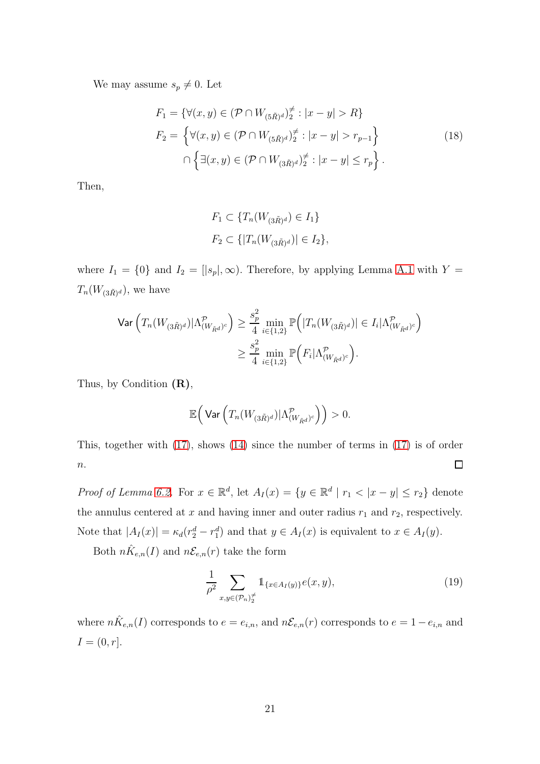We may assume  $s_p \neq 0$ . Let

$$
F_1 = \{ \forall (x, y) \in (\mathcal{P} \cap W_{(5\tilde{R})^d})_2^{\neq} : |x - y| > R \}
$$
  
\n
$$
F_2 = \{ \forall (x, y) \in (\mathcal{P} \cap W_{(5\tilde{R})^d})_2^{\neq} : |x - y| > r_{p-1} \}
$$
  
\n
$$
\cap \{ \exists (x, y) \in (\mathcal{P} \cap W_{(3\tilde{R})^d})_2^{\neq} : |x - y| \leq r_p \}.
$$
\n(18)

Then,

$$
F_1 \subset \{T_n(W_{(3\tilde{R})^d}) \in I_1\}
$$
  

$$
F_2 \subset \{|T_n(W_{(3\tilde{R})^d})| \in I_2\},\
$$

where  $I_1 = \{0\}$  and  $I_2 = [|s_p|, \infty)$ . Therefore, by applying Lemma [A.1](#page-40-4) with  $Y =$  $T_n(W_{(3\tilde{R})^d})$ , we have

$$
\begin{split} \textsf{Var}\left(T_n(W_{(3\tilde{R})^d})|\Lambda^{\mathcal{P}}_{(W_{\tilde{R}^d})^c}\right) &\geq \frac{s_p^2}{4}\min_{i\in\{1,2\}}\mathbb{P}\Big(|T_n(W_{(3\tilde{R})^d})| \in I_i|\Lambda^{\mathcal{P}}_{(W_{\tilde{R}^d})^c}\Big) \\ &\geq \frac{s_p^2}{4}\min_{i\in\{1,2\}}\mathbb{P}\Big(F_i|\Lambda^{\mathcal{P}}_{(W_{\tilde{R}^d})^c}\Big). \end{split}
$$

Thus, by Condition  $(R)$ ,

$$
\mathbb{E}\Big(\operatorname{Var}\Big(T_n(W_{(3\tilde{R})^d})|\Lambda_{(W_{\tilde{R}^d})^c}^{\mathcal{P}}\Big)\Big)>0.
$$

This, together with [\(17\)](#page-19-2), shows [\(14\)](#page-19-3) since the number of terms in [\(17\)](#page-19-2) is of order  $\Box$  $\overline{n}$ .

*Proof of Lemma [6.2.](#page-17-1)* For  $x \in \mathbb{R}^d$ , let  $A_I(x) = \{y \in \mathbb{R}^d \mid r_1 < |x - y| \le r_2\}$  denote the annulus centered at  $x$  and having inner and outer radius  $r_1$  and  $r_2$ , respectively. Note that  $|A_I(x)| = \kappa_d (r_2^d - r_1^d)$  and that  $y \in A_I(x)$  is equivalent to  $x \in A_I(y)$ .

Both  $n\hat{K}_{e,n}(I)$  and  $n\mathcal{E}_{e,n}(r)$  take the form

<span id="page-20-0"></span>
$$
\frac{1}{\rho^2} \sum_{x,y \in (\mathcal{P}_n)^{\neq}_2} \mathbb{1}_{\{x \in A_I(y)\}} e(x,y),\tag{19}
$$

where  $n\hat{K}_{e,n}(I)$  corresponds to  $e = e_{i,n}$ , and  $n\mathcal{E}_{e,n}(r)$  corresponds to  $e = 1 - e_{i,n}$  and  $I = (0, r].$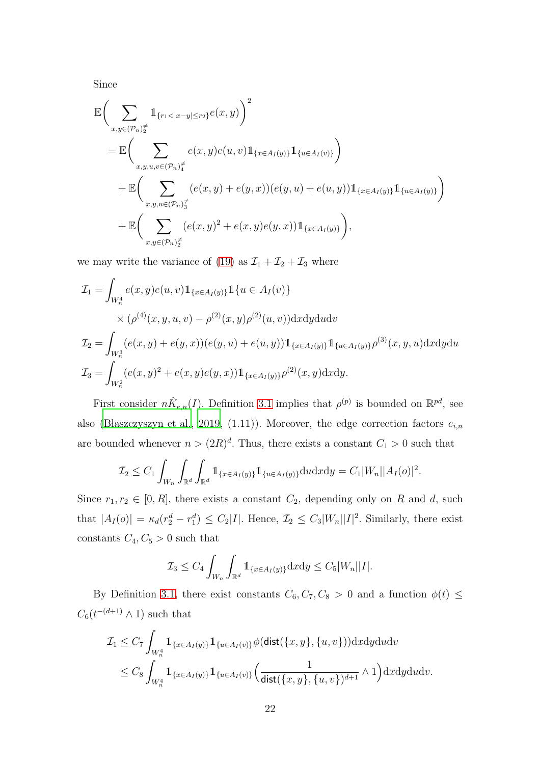Since

$$
\mathbb{E}\Big(\sum_{x,y\in(\mathcal{P}_n)^{\neq}_{2}}\mathbb{1}_{\{r_1<|x-y|\leq r_2\}}e(x,y)\Big)^2
$$
\n
$$
=\mathbb{E}\Big(\sum_{x,y,u,v\in(\mathcal{P}_n)^{\neq}_{4}}e(x,y)e(u,v)\mathbb{1}_{\{x\in A_I(y)\}}\mathbb{1}_{\{u\in A_I(v)\}}\Big)
$$
\n
$$
+\mathbb{E}\Big(\sum_{x,y,u\in(\mathcal{P}_n)^{\neq}_{3}}(e(x,y)+e(y,x))(e(y,u)+e(u,y))\mathbb{1}_{\{x\in A_I(y)\}}\mathbb{1}_{\{u\in A_I(y)\}}\Big)
$$
\n
$$
+\mathbb{E}\Big(\sum_{x,y\in(\mathcal{P}_n)^{\neq}_{2}}(e(x,y)^2+e(x,y)e(y,x))\mathbb{1}_{\{x\in A_I(y)\}}\Big),
$$

we may write the variance of [\(19\)](#page-20-0) as  $\mathcal{I}_1 + \mathcal{I}_2 + \mathcal{I}_3$  where

$$
\mathcal{I}_1 = \int_{W_n^4} e(x, y) e(u, v) \mathbb{1}_{\{x \in A_I(y)\}} \mathbb{1}_{\{u \in A_I(v)\}} \times (\rho^{(4)}(x, y, u, v) - \rho^{(2)}(x, y)\rho^{(2)}(u, v)) \,dxdydu dv \n\mathcal{I}_2 = \int_{W_n^3} (e(x, y) + e(y, x)) (e(y, u) + e(u, y)) \mathbb{1}_{\{x \in A_I(y)\}} \mathbb{1}_{\{u \in A_I(y)\}} \rho^{(3)}(x, y, u) \,dxdydu \n\mathcal{I}_3 = \int_{W_n^2} (e(x, y)^2 + e(x, y)e(y, x)) \mathbb{1}_{\{x \in A_I(y)\}} \rho^{(2)}(x, y) \,dxdy.
$$

First consider  $n\hat{K}_{e,n}(I)$ . Definition [3.1](#page-5-0) implies that  $\rho^{(p)}$  is bounded on  $\mathbb{R}^{pd}$ , see also (Błaszczyszyn et al., [2019](#page-38-2), (1.11)). Moreover, the edge correction factors  $e_{i,n}$ are bounded whenever  $n > (2R)^d$ . Thus, there exists a constant  $C_1 > 0$  such that

$$
\mathcal{I}_2 \leq C_1 \int_{W_n} \int_{\mathbb{R}^d} \int_{\mathbb{R}^d} 1_{\{x \in A_I(y)\}} 1_{\{u \in A_I(y)\}} \mathrm{d}u \mathrm{d}x \mathrm{d}y = C_1 |W_n| |A_I(o)|^2.
$$

Since  $r_1, r_2 \in [0, R]$ , there exists a constant  $C_2$ , depending only on R and d, such that  $|A_I(o)| = \kappa_d (r_2^d - r_1^d) \leq C_2 |I|$ . Hence,  $\mathcal{I}_2 \leq C_3 |W_n||I|^2$ . Similarly, there exist constants  $C_4, C_5 > 0$  such that

$$
\mathcal{I}_3 \leq C_4 \int_{W_n} \int_{\mathbb{R}^d} \mathbb{1}_{\{x \in A_I(y)\}} \mathrm{d}x \mathrm{d}y \leq C_5 |W_n||I|.
$$

By Definition [3.1,](#page-5-0) there exist constants  $C_6, C_7, C_8 > 0$  and a function  $\phi(t) \leq$  $C_6(t^{-(d+1)} \wedge 1)$  such that

$$
\mathcal{I}_1 \leq C_7 \int_{W_n^4} \mathbb{1}_{\{x \in A_I(y)\}} \mathbb{1}_{\{u \in A_I(v)\}} \phi(\text{dist}(\{x, y\}, \{u, v\})) \, \mathrm{d}x \, \mathrm{d}y \, \mathrm{d}u \, \mathrm{d}v
$$
\n
$$
\leq C_8 \int_{W_n^4} \mathbb{1}_{\{x \in A_I(y)\}} \mathbb{1}_{\{u \in A_I(v)\}} \Big( \frac{1}{\text{dist}(\{x, y\}, \{u, v\})^{d+1}} \wedge 1 \Big) \, \mathrm{d}x \, \mathrm{d}y \, \mathrm{d}u \, \mathrm{d}v.
$$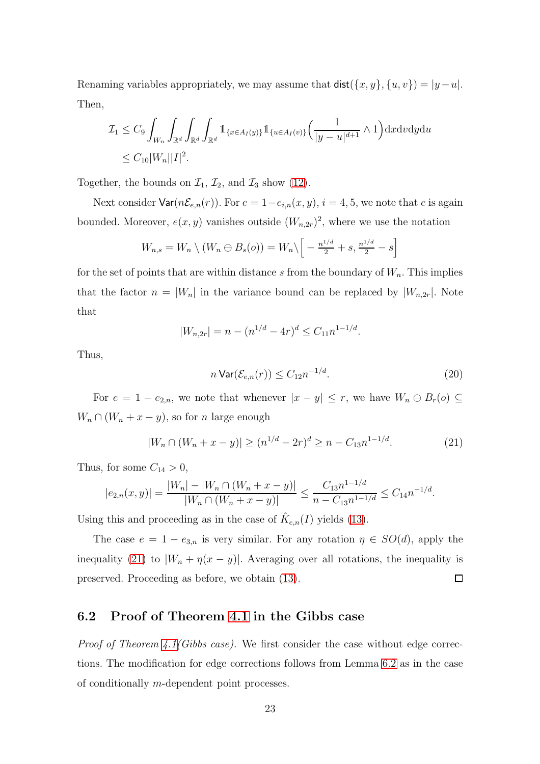Renaming variables appropriately, we may assume that  $\textsf{dist}(\{x, y\}, \{u, v\}) = |y - u|.$ Then,

$$
\mathcal{I}_1 \leq C_9 \int_{W_n} \int_{\mathbb{R}^d} \int_{\mathbb{R}^d} \int_{\mathbb{R}^d} \mathbb{1}_{\{x \in A_I(y)\}} \mathbb{1}_{\{u \in A_I(v)\}} \left( \frac{1}{|y - u|^{d+1}} \wedge 1 \right) \mathrm{d}x \mathrm{d}v \mathrm{d}y \mathrm{d}u
$$
  
 
$$
\leq C_{10} |W_n||I|^2.
$$

Together, the bounds on  $\mathcal{I}_1$ ,  $\mathcal{I}_2$ , and  $\mathcal{I}_3$  show [\(12\)](#page-18-0).

Next consider  $\textsf{Var}(n\mathcal{E}_{e,n}(r))$ . For  $e = 1-e_{i,n}(x, y), i = 4, 5$ , we note that e is again bounded. Moreover,  $e(x, y)$  vanishes outside  $(W_{n,2r})^2$ , where we use the notation

$$
W_{n,s} = W_n \setminus (W_n \ominus B_s(o)) = W_n \setminus \left[ -\frac{n^{1/d}}{2} + s, \frac{n^{1/d}}{2} - s \right]
$$

for the set of points that are within distance s from the boundary of  $W_n$ . This implies that the factor  $n = |W_n|$  in the variance bound can be replaced by  $|W_{n,2r}|$ . Note that

$$
|W_{n,2r}| = n - (n^{1/d} - 4r)^d \le C_{11} n^{1-1/d}.
$$

Thus,

$$
n \operatorname{Var}(\mathcal{E}_{e,n}(r)) \le C_{12} n^{-1/d}.\tag{20}
$$

For  $e = 1 - e_{2,n}$ , we note that whenever  $|x - y| \leq r$ , we have  $W_n \ominus B_r(o) \subseteq$  $W_n \cap (W_n + x - y)$ , so for n large enough

<span id="page-22-0"></span>
$$
|W_n \cap (W_n + x - y)| \ge (n^{1/d} - 2r)^d \ge n - C_{13} n^{1 - 1/d}.
$$
 (21)

Thus, for some  $C_{14} > 0$ ,

$$
|e_{2,n}(x,y)| = \frac{|W_n| - |W_n \cap (W_n + x - y)|}{|W_n \cap (W_n + x - y)|} \le \frac{C_{13}n^{1-1/d}}{n - C_{13}n^{1-1/d}} \le C_{14}n^{-1/d}.
$$

Using this and proceeding as in the case of  $\hat{K}_{e,n}(I)$  yields [\(13\)](#page-18-1).

The case  $e = 1 - e_{3,n}$  is very similar. For any rotation  $\eta \in SO(d)$ , apply the inequality [\(21\)](#page-22-0) to  $|W_n + \eta(x - y)|$ . Averaging over all rotations, the inequality is preserved. Proceeding as before, we obtain [\(13\)](#page-18-1).  $\Box$ 

### 6.2 Proof of Theorem [4.1](#page-11-3) in the Gibbs case

*Proof of Theorem [4.1\(](#page-11-3)Gibbs case).* We first consider the case without edge corrections. The modification for edge corrections follows from Lemma [6.2](#page-17-1) as in the case of conditionally m-dependent point processes.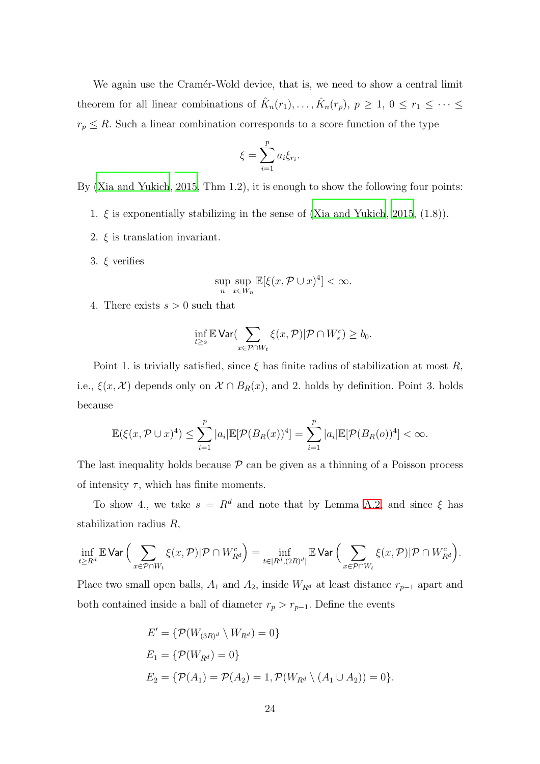We again use the Cramér-Wold device, that is, we need to show a central limit theorem for all linear combinations of  $\hat{K}_n(r_1), \ldots, \hat{K}_n(r_p), p \ge 1, 0 \le r_1 \le \cdots \le$  $r_p \leq R$ . Such a linear combination corresponds to a score function of the type

$$
\xi = \sum_{i=1}^p a_i \xi_{r_i}.
$$

By [\(Xia and Yukich](#page-40-1), [2015](#page-40-1), Thm 1.2), it is enough to show the following four points:

- 1.  $\xi$  is exponentially stabilizing in the sense of [\(Xia and Yukich](#page-40-1), [2015,](#page-40-1) (1.8)).
- 2.  $\xi$  is translation invariant.
- 3.  $\xi$  verifies

$$
\sup_{n} \sup_{x \in W_n} \mathbb{E}[\xi(x, \mathcal{P} \cup x)^4] < \infty.
$$

4. There exists  $s > 0$  such that

$$
\inf_{t\geq s}\mathbb{E}\operatorname{Var}(\sum_{x\in \mathcal{P}\cap W_t}\xi(x,\mathcal{P})|\mathcal{P}\cap W_s^c)\geq b_0.
$$

Point 1. is trivially satisfied, since  $\xi$  has finite radius of stabilization at most R, i.e.,  $\xi(x, \mathcal{X})$  depends only on  $\mathcal{X} \cap B_R(x)$ , and 2. holds by definition. Point 3. holds because

$$
\mathbb{E}(\xi(x,\mathcal{P}\cup x)^{4}) \leq \sum_{i=1}^{p} |a_{i}|\mathbb{E}[\mathcal{P}(B_{R}(x))^{4}] = \sum_{i=1}^{p} |a_{i}|\mathbb{E}[\mathcal{P}(B_{R}(o))^{4}] < \infty.
$$

The last inequality holds because  $P$  can be given as a thinning of a Poisson process of intensity  $\tau$ , which has finite moments.

To show 4., we take  $s = R^d$  and note that by Lemma [A.2,](#page-40-3) and since  $\xi$  has stabilization radius R,

$$
\inf_{t\geq R^d} \mathbb{E} \mathsf{Var}\Big(\sum_{x\in \mathcal{P}\cap W_t} \xi(x,\mathcal{P})|\mathcal{P}\cap W_{R^d}^c\Big) = \inf_{t\in [R^d,(2R)^d]} \mathbb{E} \mathsf{Var}\Big(\sum_{x\in \mathcal{P}\cap W_t} \xi(x,\mathcal{P})|\mathcal{P}\cap W_{R^d}^c\Big).
$$

Place two small open balls,  $A_1$  and  $A_2$ , inside  $W_{R^d}$  at least distance  $r_{p-1}$  apart and both contained inside a ball of diameter  $r_p > r_{p-1}$ . Define the events

$$
E' = \{ \mathcal{P}(W_{(3R)^d} \setminus W_{R^d}) = 0 \}
$$
  
\n
$$
E_1 = \{ \mathcal{P}(W_{R^d}) = 0 \}
$$
  
\n
$$
E_2 = \{ \mathcal{P}(A_1) = \mathcal{P}(A_2) = 1, \mathcal{P}(W_{R^d} \setminus (A_1 \cup A_2)) = 0 \}.
$$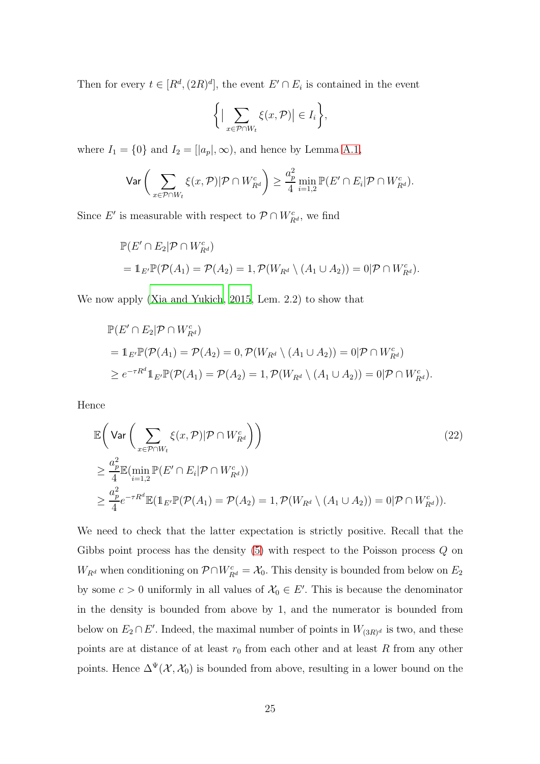Then for every  $t \in [R^d, (2R)^d]$ , the event  $E' \cap E_i$  is contained in the event

$$
\bigg\{ \big|\sum_{x \in \mathcal{P} \cap W_t} \xi(x, \mathcal{P})\big| \in I_i \bigg\},\
$$

where  $I_1 = \{0\}$  and  $I_2 = [a_p], \infty$ , and hence by Lemma [A.1,](#page-40-4)

$$
\text{Var}\left(\sum_{x \in \mathcal{P} \cap W_t} \xi(x, \mathcal{P}) |\mathcal{P} \cap W_{R^d}^c\right) \ge \frac{a_p^2}{4} \min_{i=1,2} \mathbb{P}(E' \cap E_i |\mathcal{P} \cap W_{R^d}^c).
$$

Since E' is measurable with respect to  $\mathcal{P} \cap W_{R^d}^c$ , we find

$$
\mathbb{P}(E' \cap E_2 | \mathcal{P} \cap W_{R^d}^c)
$$
  
=  $\mathbb{1}_{E'} \mathbb{P}(\mathcal{P}(A_1) = \mathcal{P}(A_2) = 1, \mathcal{P}(W_{R^d} \setminus (A_1 \cup A_2)) = 0 | \mathcal{P} \cap W_{R^d}^c).$ 

We now apply [\(Xia and Yukich](#page-40-1), [2015,](#page-40-1) Lem. 2.2) to show that

<span id="page-24-0"></span>
$$
\mathbb{P}(E' \cap E_2 | \mathcal{P} \cap W_{R^d}^c)
$$
  
=  $1_{E'} \mathbb{P}(\mathcal{P}(A_1) = \mathcal{P}(A_2) = 0, \mathcal{P}(W_{R^d} \setminus (A_1 \cup A_2)) = 0 | \mathcal{P} \cap W_{R^d}^c)$   
 $\ge e^{-\tau R^d} 1_{E'} \mathbb{P}(\mathcal{P}(A_1) = \mathcal{P}(A_2) = 1, \mathcal{P}(W_{R^d} \setminus (A_1 \cup A_2)) = 0 | \mathcal{P} \cap W_{R^d}^c).$ 

Hence

$$
\mathbb{E}\left(\text{Var}\left(\sum_{x \in \mathcal{P} \cap W_t} \xi(x, \mathcal{P}) | \mathcal{P} \cap W_{R^d}^c\right)\right) \n\geq \frac{a_p^2}{4} \mathbb{E}(\min_{i=1,2} \mathbb{P}(E' \cap E_i | \mathcal{P} \cap W_{R^d}^c)) \n\geq \frac{a_p^2}{4} e^{-\tau R^d} \mathbb{E}(\mathbb{1}_{E'} \mathbb{P}(\mathcal{P}(A_1) = \mathcal{P}(A_2) = 1, \mathcal{P}(W_{R^d} \setminus (A_1 \cup A_2)) = 0 | \mathcal{P} \cap W_{R^d}^c)).
$$
\n(22)

We need to check that the latter expectation is strictly positive. Recall that the Gibbs point process has the density [\(5\)](#page-8-1) with respect to the Poisson process Q on  $W_{R^d}$  when conditioning on  $\mathcal{P} \cap W_{R^d}^c = \mathcal{X}_0$ . This density is bounded from below on  $E_2$ by some  $c > 0$  uniformly in all values of  $\mathcal{X}_0 \in E'$ . This is because the denominator in the density is bounded from above by 1, and the numerator is bounded from below on  $E_2 \cap E'$ . Indeed, the maximal number of points in  $W_{(3R)^d}$  is two, and these points are at distance of at least  $r_0$  from each other and at least R from any other points. Hence  $\Delta^{\Psi}(\mathcal{X}, \mathcal{X}_0)$  is bounded from above, resulting in a lower bound on the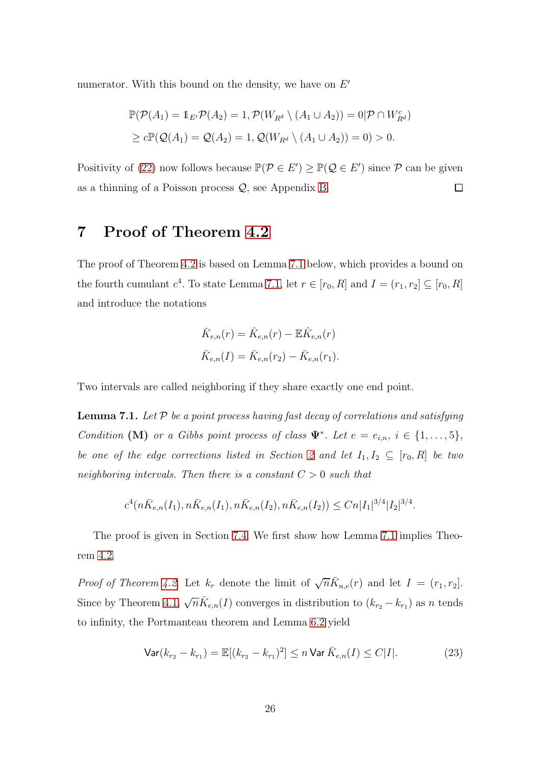numerator. With this bound on the density, we have on  $E'$ 

$$
\mathbb{P}(\mathcal{P}(A_1) = 1_{E'}\mathcal{P}(A_2) = 1, \mathcal{P}(W_{R^d} \setminus (A_1 \cup A_2)) = 0 | \mathcal{P} \cap W_{R^d}^c)
$$
  
\n
$$
\geq c \mathbb{P}(\mathcal{Q}(A_1) = \mathcal{Q}(A_2) = 1, \mathcal{Q}(W_{R^d} \setminus (A_1 \cup A_2)) = 0) > 0.
$$

<span id="page-25-0"></span>Positivity of [\(22\)](#page-24-0) now follows because  $\mathbb{P}(\mathcal{P} \in E') \geq \mathbb{P}(\mathcal{Q} \in E')$  since  $\mathcal{P}$  can be given as a thinning of a Poisson process Q, see Appendix [B.](#page-41-0)  $\Box$ 

## 7 Proof of Theorem [4.2](#page-11-0)

The proof of Theorem [4.2](#page-11-0) is based on Lemma [7.1](#page-25-1) below, which provides a bound on the fourth cumulant  $c^4$ . To state Lemma [7.1,](#page-25-1) let  $r \in [r_0, R]$  and  $I = (r_1, r_2] \subseteq [r_0, R]$ and introduce the notations

$$
\bar{K}_{e,n}(r) = \hat{K}_{e,n}(r) - \mathbb{E}\hat{K}_{e,n}(r)
$$

$$
\bar{K}_{e,n}(I) = \bar{K}_{e,n}(r_2) - \bar{K}_{e,n}(r_1).
$$

Two intervals are called neighboring if they share exactly one end point.

<span id="page-25-1"></span>**Lemma 7.1.** Let  $P$  be a point process having fast decay of correlations and satisfying Condition (M) or a Gibbs point process of class  $\Psi^*$ . Let  $e = e_{i,n}$ ,  $i \in \{1, ..., 5\}$ , be one of the edge corrections listed in Section [2](#page-2-0) and let  $I_1, I_2 \subseteq [r_0, R]$  be two neighboring intervals. Then there is a constant  $C > 0$  such that

$$
c^{4}(n\bar{K}_{e,n}(I_1), n\bar{K}_{e,n}(I_1), n\bar{K}_{e,n}(I_2), n\bar{K}_{e,n}(I_2)) \leq Cn|I_1|^{3/4}|I_2|^{3/4}.
$$

The proof is given in Section [7.4.](#page-35-0) We first show how Lemma [7.1](#page-25-1) implies Theorem [4.2.](#page-11-0)

*Proof of Theorem [4.2.](#page-11-0)* Let  $k_r$  denote the limit of  $\sqrt{n}\bar{K}_{n,e}(r)$  and let  $I = (r_1, r_2]$ . Since by Theorem [4.1,](#page-11-3)  $\sqrt{n}\bar{K}_{e,n}(I)$  converges in distribution to  $(k_{r_2} - k_{r_1})$  as n tends to infinity, the Portmanteau theorem and Lemma [6.2](#page-17-1) yield

<span id="page-25-2"></span>
$$
\text{Var}(k_{r_2} - k_{r_1}) = \mathbb{E}[(k_{r_2} - k_{r_1})^2] \le n \text{Var } \bar{K}_{e,n}(I) \le C|I|.
$$
 (23)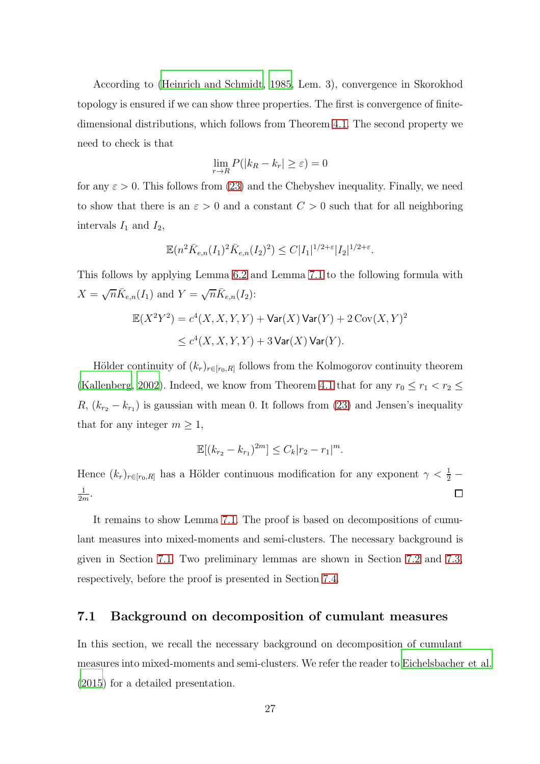According to [\(Heinrich and Schmidt, 1985,](#page-39-7) Lem. 3), convergence in Skorokhod topology is ensured if we can show three properties. The first is convergence of finitedimensional distributions, which follows from Theorem [4.1.](#page-11-3) The second property we need to check is that

$$
\lim_{r \to R} P(|k_R - k_r| \ge \varepsilon) = 0
$$

for any  $\varepsilon > 0$ . This follows from [\(23\)](#page-25-2) and the Chebyshev inequality. Finally, we need to show that there is an  $\varepsilon > 0$  and a constant  $C > 0$  such that for all neighboring intervals  $I_1$  and  $I_2$ ,

$$
\mathbb{E}(n^2 \bar{K}_{e,n}(I_1)^2 \bar{K}_{e,n}(I_2)^2) \leq C |I_1|^{1/2 + \varepsilon} |I_2|^{1/2 + \varepsilon}.
$$

This follows by applying Lemma [6.2](#page-17-1) and Lemma [7.1](#page-25-1) to the following formula with  $X = \sqrt{n} \bar{K}_{e,n}(I_1)$  and  $Y = \sqrt{n} \bar{K}_{e,n}(I_2)$ :

$$
\mathbb{E}(X^2Y^2) = c^4(X, X, Y, Y) + \text{Var}(X)\,\text{Var}(Y) + 2\,\text{Cov}(X, Y)^2
$$
  

$$
\leq c^4(X, X, Y, Y) + 3\,\text{Var}(X)\,\text{Var}(Y).
$$

Hölder continuity of  $(k_r)_{r \in [r_0, R]}$  follows from the Kolmogorov continuity theorem [\(Kallenberg, 2002](#page-39-8)). Indeed, we know from Theorem [4.1](#page-11-3) that for any  $r_0 \le r_1 < r_2 \le$  $R, (k_{r_2} - k_{r_1})$  is gaussian with mean 0. It follows from [\(23\)](#page-25-2) and Jensen's inequality that for any integer  $m \geq 1$ ,

$$
\mathbb{E}[(k_{r_2} - k_{r_1})^{2m}] \leq C_k |r_2 - r_1|^m.
$$

Hence  $(k_r)_{r \in [r_0, R]}$  has a Hölder continuous modification for any exponent  $\gamma < \frac{1}{2}$ 1  $\frac{1}{2m}$ .  $\Box$ 

It remains to show Lemma [7.1.](#page-25-1) The proof is based on decompositions of cumulant measures into mixed-moments and semi-clusters. The necessary background is given in Section [7.1.](#page-26-0) Two preliminary lemmas are shown in Section [7.2](#page-29-0) and [7.3,](#page-31-0) respectively, before the proof is presented in Section [7.4.](#page-35-0)

### <span id="page-26-0"></span>7.1 Background on decomposition of cumulant measures

In this section, we recall the necessary background on decomposition of cumulant measures into mixed-moments and semi-clusters. We refer the reader to [Eichelsbacher et al.](#page-38-5) [\(2015](#page-38-5)) for a detailed presentation.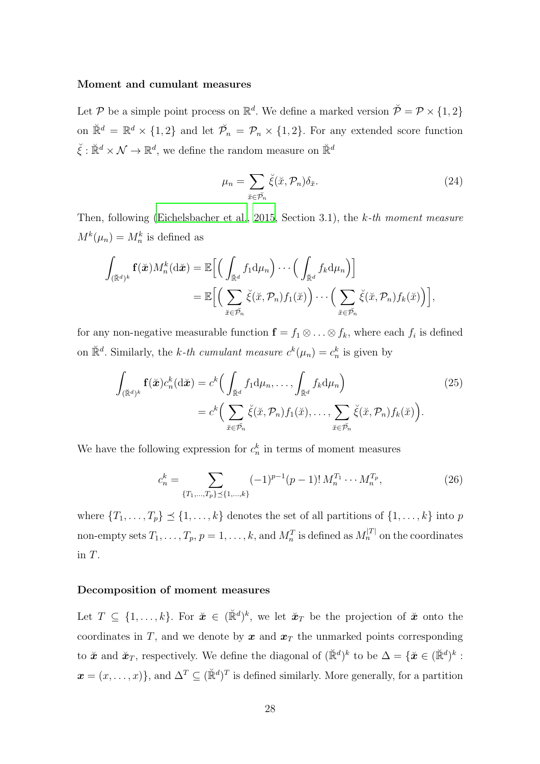#### Moment and cumulant measures

Let P be a simple point process on  $\mathbb{R}^d$ . We define a marked version  $\tilde{\mathcal{P}} = \mathcal{P} \times \{1, 2\}$ on  $\mathbb{R}^d = \mathbb{R}^d \times \{1,2\}$  and let  $\mathcal{P}_n = \mathcal{P}_n \times \{1,2\}$ . For any extended score function  $\check{\xi}: \check{\mathbb{R}}^d \times \mathcal{N} \to \mathbb{R}^d$ , we define the random measure on  $\check{\mathbb{R}}^d$ 

<span id="page-27-1"></span><span id="page-27-0"></span>
$$
\mu_n = \sum_{\breve{x} \in \breve{\mathcal{P}}_n} \breve{\xi}(\breve{x}, \mathcal{P}_n) \delta_{\breve{x}}.\tag{24}
$$

Then, following [\(Eichelsbacher et al.](#page-38-5), [2015](#page-38-5), Section 3.1), the k-th moment measure  $M^k(\mu_n) = M_n^k$  is defined as

$$
\int_{(\breve{\mathbb{R}}^d)^k} \mathbf{f}(\breve{\mathbf{x}}) M_n^k(\mathrm{d}\breve{\mathbf{x}}) = \mathbb{E}\Big[\Big(\int_{\breve{\mathbb{R}}^d} f_1 \mathrm{d}\mu_n\Big) \cdots \Big(\int_{\breve{\mathbb{R}}^d} f_k \mathrm{d}\mu_n\Big)\Big] \n= \mathbb{E}\Big[\Big(\sum_{\breve{x} \in \breve{\mathcal{P}}_n} \breve{\xi}(\breve{x}, \mathcal{P}_n) f_1(\breve{x})\Big) \cdots \Big(\sum_{\breve{x} \in \breve{\mathcal{P}}_n} \breve{\xi}(\breve{x}, \mathcal{P}_n) f_k(\breve{x})\Big)\Big],
$$

for any non-negative measurable function  $\mathbf{f} = f_1 \otimes \ldots \otimes f_k$ , where each  $f_i$  is defined on  $\mathbb{R}^d$ . Similarly, the k-th cumulant measure  $c^k(\mu_n) = c_n^k$  is given by

$$
\int_{(\check{\mathbb{R}}^d)^k} \mathbf{f}(\check{\mathbf{x}}) c_n^k(\mathrm{d}\check{\mathbf{x}}) = c^k \Big( \int_{\check{\mathbb{R}}^d} f_1 \mathrm{d}\mu_n, \dots, \int_{\check{\mathbb{R}}^d} f_k \mathrm{d}\mu_n \Big) \qquad (25)
$$
\n
$$
= c^k \Big( \sum_{\check{x} \in \check{\mathcal{P}}_n} \check{\xi}(\check{x}, \mathcal{P}_n) f_1(\check{x}), \dots, \sum_{\check{x} \in \check{\mathcal{P}}_n} \check{\xi}(\check{x}, \mathcal{P}_n) f_k(\check{x}) \Big).
$$

We have the following expression for  $c_n^k$  in terms of moment measures

<span id="page-27-2"></span>
$$
c_n^k = \sum_{\{T_1, \dots, T_p\} \preceq \{1, \dots, k\}} (-1)^{p-1} (p-1)! \, M_n^{T_1} \cdots M_n^{T_p},\tag{26}
$$

where  $\{T_1, \ldots, T_p\} \preceq \{1, \ldots, k\}$  denotes the set of all partitions of  $\{1, \ldots, k\}$  into p non-empty sets  $T_1, \ldots, T_p, p = 1, \ldots, k$ , and  $M_n^T$  is defined as  $M_n^{|T|}$  on the coordinates in T.

#### Decomposition of moment measures

Let  $T \subseteq \{1, \ldots, k\}$ . For  $\check{\mathbf{x}} \in (\check{\mathbb{R}}^d)^k$ , we let  $\check{\mathbf{x}}_T$  be the projection of  $\check{\mathbf{x}}$  onto the coordinates in T, and we denote by  $x$  and  $x<sub>T</sub>$  the unmarked points corresponding to  $\check{x}$  and  $\check{x}_T$ , respectively. We define the diagonal of  $(\check{\mathbb{R}}^d)^k$  to be  $\Delta = {\{\check{x} \in (\check{\mathbb{R}}^d)^k : \check{x} \in \check{x} \in \check{x} \}$  $\boldsymbol{x} = (x, \dots, x)$ , and  $\Delta^T \subseteq (\mathbb{R}^d)^T$  is defined similarly. More generally, for a partition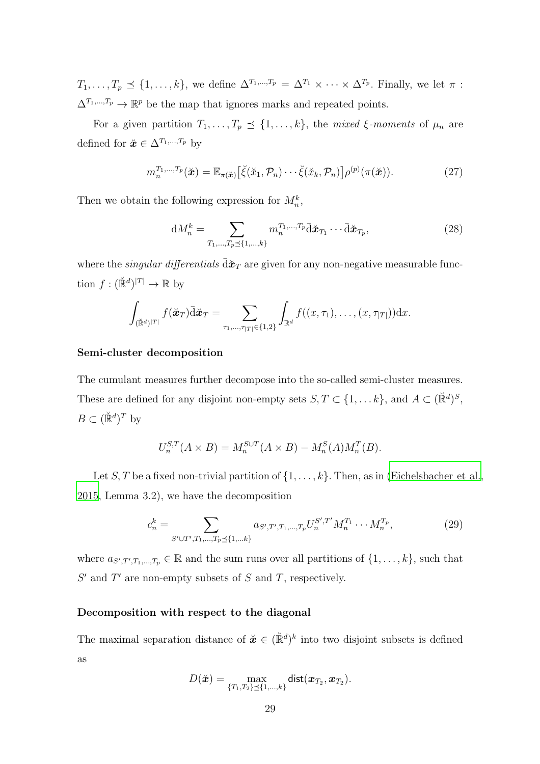$T_1, \ldots, T_p \preceq \{1, \ldots, k\},$  we define  $\Delta^{T_1, \ldots, T_p} = \Delta^{T_1} \times \cdots \times \Delta^{T_p}$ . Finally, we let  $\pi$ :  $\Delta^{T_1,...,T_p} \to \mathbb{R}^p$  be the map that ignores marks and repeated points.

For a given partition  $T_1, \ldots, T_p \preceq \{1, \ldots, k\}$ , the mixed  $\xi$ -moments of  $\mu_n$  are defined for  $\check{\mathbf{x}} \in \Delta^{T_1,...,T_p}$  by

<span id="page-28-1"></span>
$$
m_n^{T_1,\ldots,T_p}(\check{\boldsymbol{x}}) = \mathbb{E}_{\pi(\check{\boldsymbol{x}})}\big[\check{\xi}(\check{x}_1,\mathcal{P}_n)\cdots\check{\xi}(\check{x}_k,\mathcal{P}_n)\big]\rho^{(p)}(\pi(\check{\boldsymbol{x}})).
$$
\n(27)

Then we obtain the following expression for  $M_n^k$ ,

<span id="page-28-0"></span>
$$
dM_n^k = \sum_{T_1, \dots, T_p \preceq \{1, \dots, k\}} m_n^{T_1, \dots, T_p} \bar{d} \check{\mathbf{z}}_{T_1} \cdots \bar{d} \check{\mathbf{z}}_{T_p},
$$
(28)

where the *singular differentials*  $\overline{d}\mathbf{x}_T$  are given for any non-negative measurable function  $f: (\mathbb{R}^d)^{|T|} \to \mathbb{R}$  by

$$
\int_{(\mathbb{R}^d)^{|T|}} f(\mathbf{\check{x}}_T) \overline{\mathrm{d}} \mathbf{\check{x}}_T = \sum_{\tau_1, \ldots, \tau_{|T|} \in \{1,2\}} \int_{\mathbb{R}^d} f((x,\tau_1), \ldots, (x,\tau_{|T|})) \mathrm{d} x.
$$

#### Semi-cluster decomposition

The cumulant measures further decompose into the so-called semi-cluster measures. These are defined for any disjoint non-empty sets  $S, T \subset \{1, \ldots k\}$ , and  $A \subset (\mathbb{R}^d)^S$ ,  $B \subset (\mathbb{R}^d)^T$  by

$$
U_n^{S,T}(A \times B) = M_n^{S \cup T}(A \times B) - M_n^S(A)M_n^T(B).
$$

Let S, T be a fixed non-trivial partition of  $\{1, \ldots, k\}$ . Then, as in [\(Eichelsbacher et al.,](#page-38-5) [2015,](#page-38-5) Lemma 3.2), we have the decomposition

<span id="page-28-2"></span>
$$
c_n^k = \sum_{S' \cup T', T_1, \dots, T_p \preceq \{1, \dots k\}} a_{S', T', T_1, \dots, T_p} U_n^{S', T'} M_n^{T_1} \cdots M_n^{T_p},\tag{29}
$$

where  $a_{S',T',T_1,\dots,T_p} \in \mathbb{R}$  and the sum runs over all partitions of  $\{1,\dots,k\}$ , such that  $S'$  and  $T'$  are non-empty subsets of S and T, respectively.

#### Decomposition with respect to the diagonal

The maximal separation distance of  $\tilde{\boldsymbol{x}} \in (\mathbb{R}^d)^k$  into two disjoint subsets is defined as

$$
D(\breve{\bm{x}}) = \max_{\{T_1, T_2\} \preceq \{1, \dots, k\}} \text{dist}(\bm{x}_{T_2}, \bm{x}_{T_2}).
$$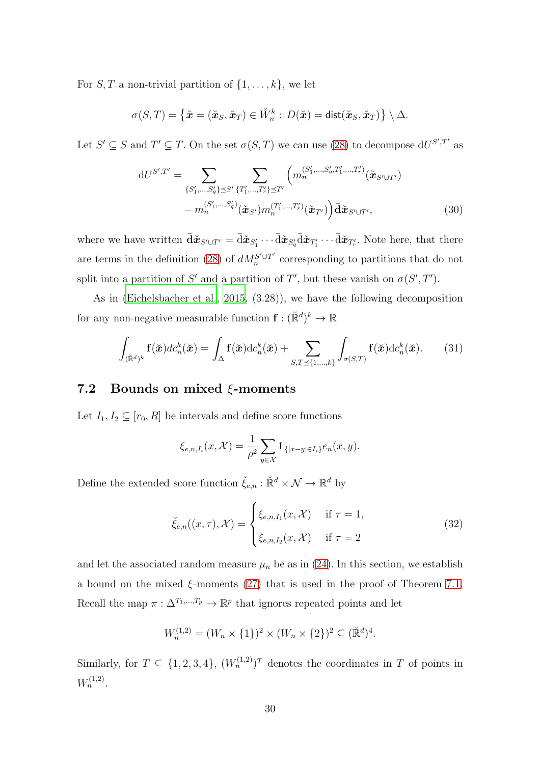For  $S, T$  a non-trivial partition of  $\{1, \ldots, k\}$ , we let

$$
\sigma(S,T)=\big\{\breve{\boldsymbol{x}}=(\breve{\boldsymbol{x}}_S,\breve{\boldsymbol{x}}_T)\in \breve{W}_n^k:\,D(\breve{\boldsymbol{x}})=\text{dist}(\breve{\boldsymbol{x}}_S,\breve{\boldsymbol{x}}_T)\big\}\setminus\Delta.
$$

Let  $S' \subseteq S$  and  $T' \subseteq T$ . On the set  $\sigma(S,T)$  we can use [\(28\)](#page-28-0) to decompose  $dU^{S',T'}$  as

<span id="page-29-3"></span>
$$
dU^{S',T'} = \sum_{\{S'_1,\dots,S'_q\} \preceq S'} \sum_{\{T'_1,\dots,T'_r\} \preceq T'} \left( m_n^{(S'_1,\dots,S'_q,T'_1,\dots,T'_r)} (\check{\boldsymbol{x}}_{S' \cup T'}) - m_n^{(S'_1,\dots,S'_q)} (\check{\boldsymbol{x}}_{S'}) m_n^{(T'_1,\dots,T'_r)} (\check{\boldsymbol{x}}_{T'}) \right) \bar{\mathbf{d}} \check{\boldsymbol{x}}_{S' \cup T'},
$$
(30)

where we have written  $\bar{\mathbf{d}}\tilde{\mathbf{x}}_{S' \cup T'} = \bar{\mathbf{d}}\tilde{\mathbf{x}}_{S'_1} \cdots \bar{\mathbf{d}}\tilde{\mathbf{x}}_{S'_q} \bar{\mathbf{d}}\tilde{\mathbf{x}}_{T'_1} \cdots \bar{\mathbf{d}}\tilde{\mathbf{x}}_{T'_r}$ . Note here, that there are terms in the definition [\(28\)](#page-28-0) of  $dM_n^{S' \cup T'}$  $n^{S' \cup T'}$  corresponding to partitions that do not split into a partition of S' and a partition of T', but these vanish on  $\sigma(S',T')$ .

As in [\(Eichelsbacher et al., 2015](#page-38-5), (3.28)), we have the following decomposition for any non-negative measurable function  $f: (\mathbb{R}^d)^k \to \mathbb{R}$ 

<span id="page-29-2"></span>
$$
\int_{(\breve{\mathbb{R}}^d)^k} \mathbf{f}(\breve{\mathbf{x}}) dc_n^k(\breve{\mathbf{x}}) = \int_{\Delta} \mathbf{f}(\breve{\mathbf{x}}) dc_n^k(\breve{\mathbf{x}}) + \sum_{S,T \preceq \{1,\dots,k\}} \int_{\sigma(S,T)} \mathbf{f}(\breve{\mathbf{x}}) dc_n^k(\breve{\mathbf{x}}).
$$
 (31)

### <span id="page-29-0"></span>7.2 Bounds on mixed  $\xi$ -moments

Let  $I_1, I_2 \subseteq [r_0, R]$  be intervals and define score functions

$$
\xi_{e,n,I_i}(x,\mathcal{X}) = \frac{1}{\rho^2} \sum_{y \in \mathcal{X}} \mathbb{1}_{\{|x-y| \in I_i\}} e_n(x,y).
$$

Define the extended score function  $\check{\xi}_{e,n} : \check{\mathbb{R}}^d \times \mathcal{N} \to \mathbb{R}^d$  by

<span id="page-29-1"></span>
$$
\breve{\xi}_{e,n}((x,\tau),\mathcal{X}) = \begin{cases} \xi_{e,n,I_1}(x,\mathcal{X}) & \text{if } \tau = 1, \\ \xi_{e,n,I_2}(x,\mathcal{X}) & \text{if } \tau = 2 \end{cases}
$$
\n(32)

and let the associated random measure  $\mu_n$  be as in [\(24\)](#page-27-0). In this section, we establish a bound on the mixed  $\xi$ -moments [\(27\)](#page-28-1) that is used in the proof of Theorem [7.1.](#page-25-1) Recall the map  $\pi : \Delta^{T_1,...,T_p} \to \mathbb{R}^p$  that ignores repeated points and let

$$
W_n^{(1,2)} = (W_n \times \{1\})^2 \times (W_n \times \{2\})^2 \subseteq (\mathbb{R}^d)^4.
$$

Similarly, for  $T \subseteq \{1, 2, 3, 4\}$ ,  $(W_n^{(1,2)})^T$  denotes the coordinates in T of points in  $W_n^{(1,2)}$ .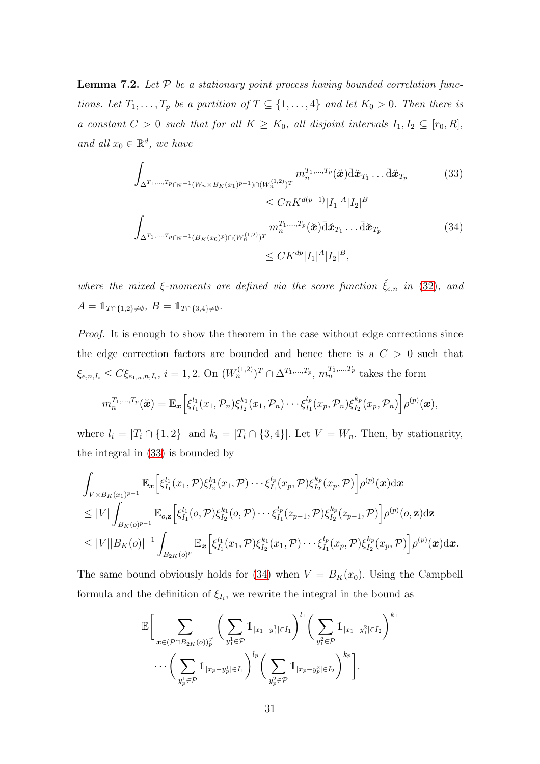<span id="page-30-0"></span>**Lemma 7.2.** Let  $P$  be a stationary point process having bounded correlation functions. Let  $T_1, \ldots, T_p$  be a partition of  $T \subseteq \{1, \ldots, 4\}$  and let  $K_0 > 0$ . Then there is a constant  $C > 0$  such that for all  $K \geq K_0$ , all disjoint intervals  $I_1, I_2 \subseteq [r_0, R]$ , and all  $x_0 \in \mathbb{R}^d$ , we have

<span id="page-30-1"></span>
$$
\int_{\Delta^{T_1,...,T_p} \cap \pi^{-1}(W_n \times B_K(x_1)^{p-1}) \cap (W_n^{(1,2)})^T} m_n^{T_1,...,T_p}(\check{x}) \bar{\mathrm{d}} \check{x}_{T_1} \dots \bar{\mathrm{d}} \check{x}_{T_p} \tag{33}
$$

<span id="page-30-2"></span>
$$
\leq C n K^{d(p-1)} |I_1|^A |I_2|^B
$$
  

$$
\int_{\Delta^{T_1,\ldots,T_{p}} \cap \pi^{-1}(B_K(x_0)^p) \cap (W_n^{(1,2)})^T} m_n^{T_1,\ldots,T_p}(\check{\mathbf{z}}) \bar{\mathbf{d}} \check{\mathbf{z}}_{T_1} \ldots \bar{\mathbf{d}} \check{\mathbf{z}}_{T_p}
$$
(34)  

$$
\leq C K^{dp} |I_1|^A |I_2|^B,
$$

where the mixed  $\xi$ -moments are defined via the score function  $\check{\xi}_{e,n}$  in [\(32\)](#page-29-1), and  $A = 1_{T \cap \{1,2\} \neq \emptyset}, B = 1_{T \cap \{3,4\} \neq \emptyset}.$ 

Proof. It is enough to show the theorem in the case without edge corrections since the edge correction factors are bounded and hence there is a  $C > 0$  such that  $\xi_{e,n,I_i} \leq C \xi_{e_{1,n},n,I_i}, i = 1,2.$  On  $(W_n^{(1,2)})^T \cap \Delta^{T_1,...,T_p}, m_n^{T_1,...,T_p}$  takes the form

$$
m_n^{T_1,...,T_p}(\check{\mathbf{x}}) = \mathbb{E}_{\mathbf{x}} \Big[\xi_{I_1}^{l_1}(x_1,\mathcal{P}_n)\xi_{I_2}^{k_1}(x_1,\mathcal{P}_n)\cdots \xi_{I_1}^{l_p}(x_p,\mathcal{P}_n)\xi_{I_2}^{k_p}(x_p,\mathcal{P}_n)\Big] \rho^{(p)}(\mathbf{x}),
$$

where  $l_i = |T_i \cap \{1,2\}|$  and  $k_i = |T_i \cap \{3,4\}|$ . Let  $V = W_n$ . Then, by stationarity, the integral in [\(33\)](#page-30-1) is bounded by

$$
\int_{V\times B_K(x_1)^{p-1}} \mathbb{E}_x \Big[\xi_{I_1}^{l_1}(x_1,\mathcal{P})\xi_{I_2}^{k_1}(x_1,\mathcal{P})\cdots\xi_{I_1}^{l_p}(x_p,\mathcal{P})\xi_{I_2}^{k_p}(x_p,\mathcal{P})\Big]\rho^{(p)}(\mathbf{x})\mathrm{d}\mathbf{x} \n\leq |V| \int_{B_K(o)^{p-1}} \mathbb{E}_{o,\mathbf{z}} \Big[\xi_{I_1}^{l_1}(o,\mathcal{P})\xi_{I_2}^{k_1}(o,\mathcal{P})\cdots\xi_{I_1}^{l_p}(z_{p-1},\mathcal{P})\xi_{I_2}^{k_p}(z_{p-1},\mathcal{P})\Big]\rho^{(p)}(o,\mathbf{z})\mathrm{d}\mathbf{z} \n\leq |V||B_K(o)|^{-1} \int_{B_{2K}(o)^p} \mathbb{E}_x \Big[\xi_{I_1}^{l_1}(x_1,\mathcal{P})\xi_{I_2}^{k_1}(x_1,\mathcal{P})\cdots\xi_{I_1}^{l_p}(x_p,\mathcal{P})\xi_{I_2}^{k_p}(x_p,\mathcal{P})\Big]\rho^{(p)}(\mathbf{x})\mathrm{d}\mathbf{x}.
$$

The same bound obviously holds for [\(34\)](#page-30-2) when  $V = B_K(x_0)$ . Using the Campbell formula and the definition of  $\xi_{I_i}$ , we rewrite the integral in the bound as

$$
\mathbb{E}\bigg[\sum_{x \in (\mathcal{P} \cap B_{2K}(o))_p^{\neq}} \bigg(\sum_{y_1^1 \in \mathcal{P}} 1_{|x_1-y_1^1| \in I_1}\bigg)^{l_1} \bigg(\sum_{y_1^2 \in \mathcal{P}} 1_{|x_1-y_1^2| \in I_2}\bigg)^{k_1} \cdots \bigg(\sum_{y_p^1 \in \mathcal{P}} 1_{|x_p-y_p^1| \in I_1}\bigg)^{l_p} \bigg(\sum_{y_p^2 \in \mathcal{P}} 1_{|x_p-y_p^2| \in I_2}\bigg)^{k_p}\bigg].
$$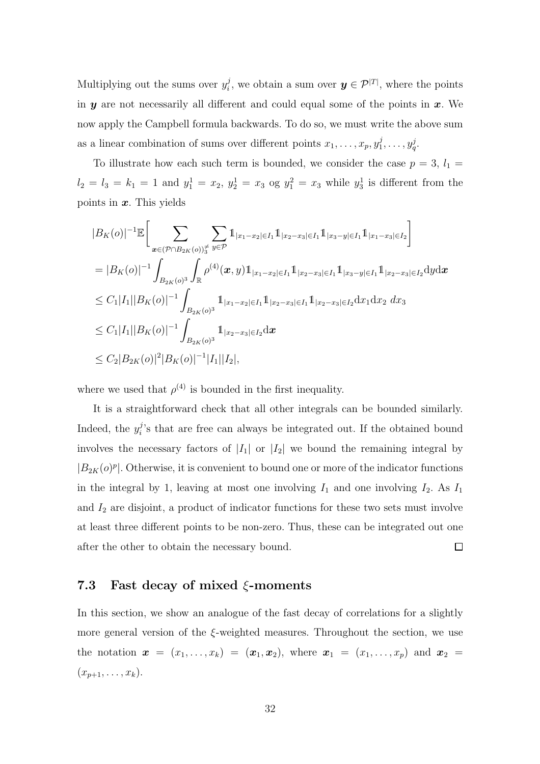Multiplying out the sums over  $y_i^j$  $i_j$ , we obtain a sum over  $y \in \mathcal{P}^{|T|}$ , where the points in  $y$  are not necessarily all different and could equal some of the points in  $x$ . We now apply the Campbell formula backwards. To do so, we must write the above sum as a linear combination of sums over different points  $x_1, \ldots, x_p, y_1^j$  $j_1,\ldots,y_q^j.$ 

To illustrate how each such term is bounded, we consider the case  $p = 3$ ,  $l_1 =$  $l_2 = l_3 = k_1 = 1$  and  $y_1^1 = x_2$ ,  $y_2^1 = x_3$  og  $y_1^2 = x_3$  while  $y_3^1$  is different from the points in  $x$ . This yields

$$
|B_{K}(o)|^{-1} \mathbb{E} \Big[ \sum_{\mathbf{x} \in (\mathcal{P} \cap B_{2K}(o))_{3}^{\neq}} \sum_{y \in \mathcal{P}} 1_{|x_{1}-x_{2}| \in I_{1}} 1_{|x_{2}-x_{3}| \in I_{1}} 1_{|x_{3}-y| \in I_{1}} 1_{|x_{1}-x_{3}| \in I_{2}} \Big]
$$
  
\n
$$
= |B_{K}(o)|^{-1} \int_{B_{2K}(o)^{3}} \int_{\mathbb{R}} \rho^{(4)}(\mathbf{x}, y) 1_{|x_{1}-x_{2}| \in I_{1}} 1_{|x_{2}-x_{3}| \in I_{1}} 1_{|x_{3}-y| \in I_{1}} 1_{|x_{2}-x_{3}| \in I_{2}} dy dx
$$
  
\n
$$
\leq C_{1}|I_{1}||B_{K}(o)|^{-1} \int_{B_{2K}(o)^{3}} 1_{|x_{1}-x_{2}| \in I_{1}} 1_{|x_{2}-x_{3}| \in I_{1}} 1_{|x_{2}-x_{3}| \in I_{2}} dx_{1} dx_{2} dx_{3}
$$
  
\n
$$
\leq C_{1}|I_{1}||B_{K}(o)|^{-1} \int_{B_{2K}(o)^{3}} 1_{|x_{2}-x_{3}| \in I_{2}} dx
$$
  
\n
$$
\leq C_{2}|B_{2K}(o)|^{2}|B_{K}(o)|^{-1}|I_{1}||I_{2}|,
$$

where we used that  $\rho^{(4)}$  is bounded in the first inequality.

It is a straightforward check that all other integrals can be bounded similarly. Indeed, the  $y_i^j$  $i$ 's that are free can always be integrated out. If the obtained bound involves the necessary factors of  $|I_1|$  or  $|I_2|$  we bound the remaining integral by  $|B_{2K}(o)^p|$ . Otherwise, it is convenient to bound one or more of the indicator functions in the integral by 1, leaving at most one involving  $I_1$  and one involving  $I_2$ . As  $I_1$ and  $I_2$  are disjoint, a product of indicator functions for these two sets must involve at least three different points to be non-zero. Thus, these can be integrated out one  $\Box$ after the other to obtain the necessary bound.

### <span id="page-31-0"></span>7.3 Fast decay of mixed  $\xi$ -moments

In this section, we show an analogue of the fast decay of correlations for a slightly more general version of the  $\xi$ -weighted measures. Throughout the section, we use the notation  $x = (x_1, ..., x_k) = (x_1, x_2)$ , where  $x_1 = (x_1, ..., x_p)$  and  $x_2 =$  $(x_{p+1}, \ldots, x_k).$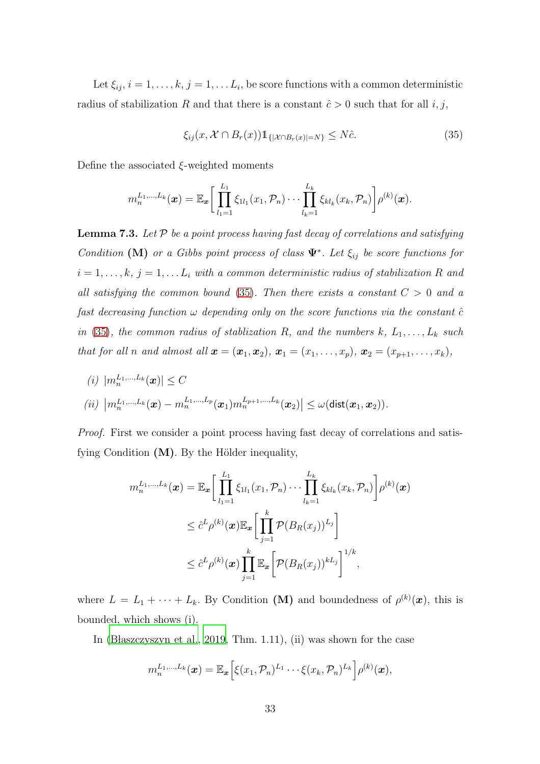Let  $\xi_{ij}, i = 1, \ldots, k, j = 1, \ldots L_i$ , be score functions with a common deterministic radius of stabilization R and that there is a constant  $\hat{c} > 0$  such that for all i, j,

<span id="page-32-1"></span>
$$
\xi_{ij}(x, \mathcal{X} \cap B_r(x)) \mathbb{1}_{\{|\mathcal{X} \cap B_r(x)| = N\}} \leq N\hat{c}.\tag{35}
$$

Define the associated  $\xi$ -weighted moments

$$
m_n^{L_1,...,L_k}(\boldsymbol{x}) = \mathbb{E}_{\boldsymbol{x}} \bigg[ \prod_{l_1=1}^{L_1} \xi_{1l_1}(x_1,\mathcal{P}_n) \cdots \prod_{l_k=1}^{L_k} \xi_{kl_k}(x_k,\mathcal{P}_n) \bigg] \rho^{(k)}(\boldsymbol{x}).
$$

<span id="page-32-0"></span>**Lemma 7.3.** Let  $P$  be a point process having fast decay of correlations and satisfying Condition (M) or a Gibbs point process of class  $\Psi^*$ . Let  $\xi_{ij}$  be score functions for  $i = 1, \ldots, k, j = 1, \ldots L_i$  with a common deterministic radius of stabilization R and all satisfying the common bound [\(35\)](#page-32-1). Then there exists a constant  $C > 0$  and a fast decreasing function  $\omega$  depending only on the score functions via the constant  $\hat{c}$ in [\(35\)](#page-32-1), the common radius of stablization R, and the numbers k,  $L_1, \ldots, L_k$  such that for all n and almost all  $\mathbf{x} = (\mathbf{x}_1, \mathbf{x}_2), \mathbf{x}_1 = (x_1, \ldots, x_p), \mathbf{x}_2 = (x_{p+1}, \ldots, x_k),$ 

(*i*) 
$$
|m_n^{L_1,...,L_k}(\boldsymbol{x})| \leq C
$$
  
\n(*ii*)  $|m_n^{L_1,...,L_k}(\boldsymbol{x}) - m_n^{L_1,...,L_p}(\boldsymbol{x}_1)m_n^{L_{p+1},...,L_k}(\boldsymbol{x}_2)| \leq \omega(\text{dist}(\boldsymbol{x}_1,\boldsymbol{x}_2)).$ 

Proof. First we consider a point process having fast decay of correlations and satisfying Condition  $(M)$ . By the Hölder inequality,

$$
m_n^{L_1,\ldots,L_k}(\boldsymbol{x}) = \mathbb{E}_{\boldsymbol{x}} \bigg[ \prod_{l_1=1}^{L_1} \xi_{1l_1}(x_1,\mathcal{P}_n) \cdots \prod_{l_k=1}^{L_k} \xi_{kl_k}(x_k,\mathcal{P}_n) \bigg] \rho^{(k)}(\boldsymbol{x})
$$
  

$$
\leq \hat{c}^L \rho^{(k)}(\boldsymbol{x}) \mathbb{E}_{\boldsymbol{x}} \bigg[ \prod_{j=1}^k \mathcal{P}(B_R(x_j))^{L_j} \bigg]
$$
  

$$
\leq \hat{c}^L \rho^{(k)}(\boldsymbol{x}) \prod_{j=1}^k \mathbb{E}_{\boldsymbol{x}} \bigg[ \mathcal{P}(B_R(x_j))^{k L_j} \bigg]^{1/k},
$$

where  $L = L_1 + \cdots + L_k$ . By Condition (M) and boundedness of  $\rho^{(k)}(x)$ , this is bounded, which shows (i).

In [\(B laszczyszyn et al.](#page-38-2), [2019,](#page-38-2) Thm. 1.11), (ii) was shown for the case

$$
m_n^{L_1,\ldots,L_k}(\boldsymbol{x}) = \mathbb{E}_{\boldsymbol{x}}\Big[\xi(x_1,\mathcal{P}_n)^{L_1}\cdots\xi(x_k,\mathcal{P}_n)^{L_k}\Big]\rho^{(k)}(\boldsymbol{x}),
$$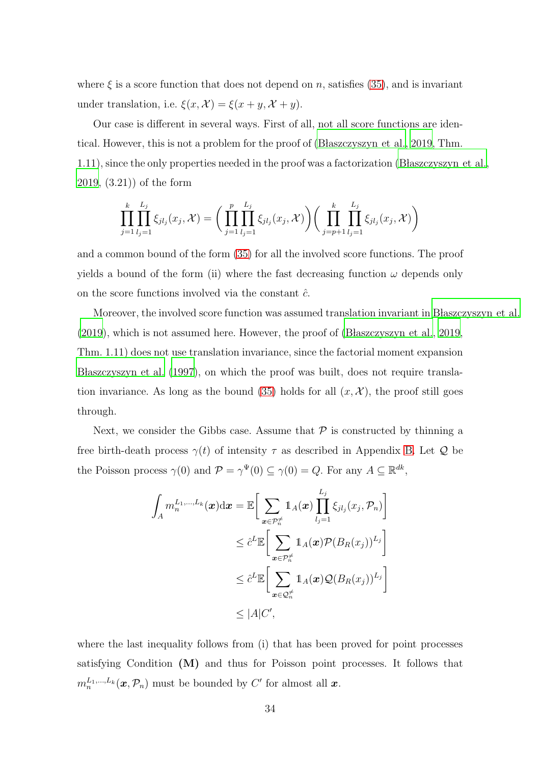where  $\xi$  is a score function that does not depend on n, satisfies [\(35\)](#page-32-1), and is invariant under translation, i.e.  $\xi(x, \mathcal{X}) = \xi(x + y, \mathcal{X} + y)$ .

Our case is different in several ways. First of all, not all score functions are identical. However, this is not a problem for the proof of (Blaszczyszyn et al., 2019, Thm. 1.11), since the only properties needed in the proof was a factorization [\(B laszczyszyn et al.,](#page-38-2) [2019,](#page-38-2) (3.21)) of the form

$$
\prod_{j=1}^k \prod_{l_j=1}^{L_j} \xi_{jl_j}(x_j, \mathcal{X}) = \bigg( \prod_{j=1}^p \prod_{l_j=1}^{L_j} \xi_{jl_j}(x_j, \mathcal{X}) \bigg) \bigg( \prod_{j=p+1}^k \prod_{l_j=1}^{L_j} \xi_{jl_j}(x_j, \mathcal{X}) \bigg)
$$

and a common bound of the form [\(35\)](#page-32-1) for all the involved score functions. The proof yields a bound of the form (ii) where the fast decreasing function  $\omega$  depends only on the score functions involved via the constant  $\hat{c}$ .

Moreover, the involved score function was assumed translation invariant in [B laszczyszyn et al.](#page-38-2)  $(2019)$  $(2019)$ , which is not assumed here. However, the proof of  $(B$  laszczyszyn et al., 2019, Thm. 1.11) does not use translation invariance, since the factorial moment expansion [B laszczyszyn et al. \(1997\)](#page-38-6), on which the proof was built, does not require transla-tion invariance. As long as the bound [\(35\)](#page-32-1) holds for all  $(x, \mathcal{X})$ , the proof still goes through.

Next, we consider the Gibbs case. Assume that  $P$  is constructed by thinning a free birth-death process  $\gamma(t)$  of intensity  $\tau$  as described in Appendix [B.](#page-41-0) Let Q be the Poisson process  $\gamma(0)$  and  $\mathcal{P} = \gamma^{\Psi}(0) \subseteq \gamma(0) = Q$ . For any  $A \subseteq \mathbb{R}^{dk}$ ,

$$
\int_{A} m_n^{L_1,\dots,L_k}(\boldsymbol{x}) d\boldsymbol{x} = \mathbb{E} \bigg[ \sum_{\boldsymbol{x} \in \mathcal{P}_n^{\neq}} \mathbb{1}_A(\boldsymbol{x}) \prod_{l_j=1}^{L_j} \xi_{jl_j}(x_j, \mathcal{P}_n) \bigg] \n\leq \hat{c}^L \mathbb{E} \bigg[ \sum_{\boldsymbol{x} \in \mathcal{P}_n^{\neq}} \mathbb{1}_A(\boldsymbol{x}) \mathcal{P}(B_R(x_j))^{L_j} \bigg] \n\leq \hat{c}^L \mathbb{E} \bigg[ \sum_{\boldsymbol{x} \in \mathcal{Q}_n^{\neq}} \mathbb{1}_A(\boldsymbol{x}) \mathcal{Q}(B_R(x_j))^{L_j} \bigg] \n\leq |A| C',
$$

where the last inequality follows from (i) that has been proved for point processes satisfying Condition (M) and thus for Poisson point processes. It follows that  $m_n^{L_1,\dots,L_k}(\boldsymbol{x},\mathcal{P}_n)$  must be bounded by  $C'$  for almost all  $\boldsymbol{x}$ .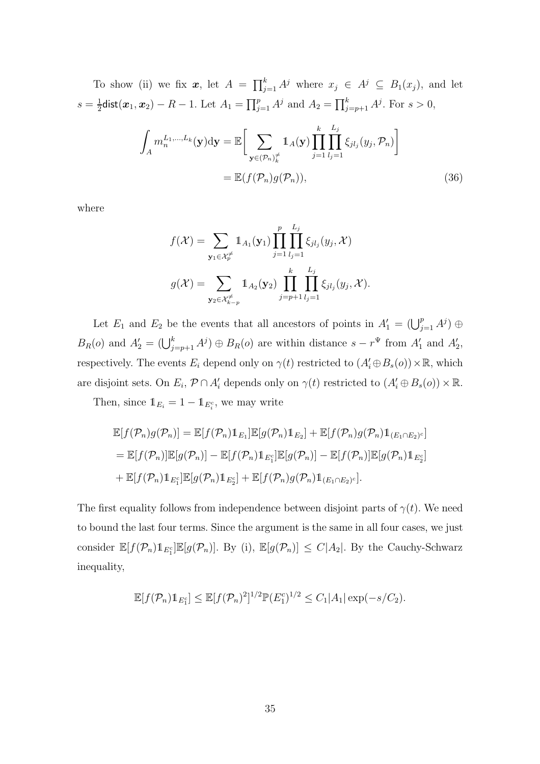To show (ii) we fix  $x$ , let  $A = \prod_{j=1}^{k} A^{j}$  where  $x_j \in A^{j} \subseteq B_1(x_j)$ , and let  $s=\frac{1}{2}$  $\frac{1}{2}$ dist $(\bm{x}_1, \bm{x}_2) - R - 1$ . Let  $A_1 = \prod_{j=1}^p A^j$  and  $A_2 = \prod_{j=p+1}^k A^j$ . For  $s > 0$ ,

$$
\int_{A} m_n^{L_1,\dots,L_k}(\mathbf{y}) \mathrm{d}\mathbf{y} = \mathbb{E}\bigg[\sum_{\mathbf{y}\in(\mathcal{P}_n)_{\bar{k}}^{\neq}} \mathbb{1}_A(\mathbf{y}) \prod_{j=1}^k \prod_{l_j=1}^{L_j} \xi_{jl_j}(y_j,\mathcal{P}_n)\bigg]
$$
\n
$$
= \mathbb{E}(f(\mathcal{P}_n)g(\mathcal{P}_n)),\tag{36}
$$

where

$$
f(\mathcal{X}) = \sum_{\mathbf{y}_1 \in \mathcal{X}_p^{\neq}} 1_{A_1}(\mathbf{y}_1) \prod_{j=1}^p \prod_{l_j=1}^{L_j} \xi_{jl_j}(y_j, \mathcal{X})
$$

$$
g(\mathcal{X}) = \sum_{\mathbf{y}_2 \in \mathcal{X}_{k-p}^{\neq}} 1_{A_2}(\mathbf{y}_2) \prod_{j=p+1}^k \prod_{l_j=1}^{L_j} \xi_{jl_j}(y_j, \mathcal{X}).
$$

Let  $E_1$  and  $E_2$  be the events that all ancestors of points in  $A'_1 = (\bigcup_{j=1}^p A^j) \oplus$  $B_R(o)$  and  $A'_2 = (\bigcup_{j=p+1}^k A^j) \oplus B_R(o)$  are within distance  $s - r^{\Psi}$  from  $A'_1$  and  $A'_2$ , respectively. The events  $E_i$  depend only on  $\gamma(t)$  restricted to  $(A'_i \oplus B_s(o)) \times \mathbb{R}$ , which are disjoint sets. On  $E_i$ ,  $P \cap A'_i$  depends only on  $\gamma(t)$  restricted to  $(A'_i \oplus B_s(o)) \times \mathbb{R}$ .

Then, since  $\mathbb{1}_{E_i} = 1 - \mathbb{1}_{E_i^c}$ , we may write

$$
\mathbb{E}[f(\mathcal{P}_n)g(\mathcal{P}_n)] = \mathbb{E}[f(\mathcal{P}_n)1_{E_1}]\mathbb{E}[g(\mathcal{P}_n)1_{E_2}] + \mathbb{E}[f(\mathcal{P}_n)g(\mathcal{P}_n)1_{(E_1 \cap E_2)^c}]
$$
  
\n
$$
= \mathbb{E}[f(\mathcal{P}_n)]\mathbb{E}[g(\mathcal{P}_n)] - \mathbb{E}[f(\mathcal{P}_n)1_{E_1^c}]\mathbb{E}[g(\mathcal{P}_n)] - \mathbb{E}[f(\mathcal{P}_n)]\mathbb{E}[g(\mathcal{P}_n)1_{E_2^c}]
$$
  
\n
$$
+ \mathbb{E}[f(\mathcal{P}_n)1_{E_1^c}]\mathbb{E}[g(\mathcal{P}_n)1_{E_2^c}] + \mathbb{E}[f(\mathcal{P}_n)g(\mathcal{P}_n)1_{(E_1 \cap E_2)^c}].
$$

The first equality follows from independence between disjoint parts of  $\gamma(t)$ . We need to bound the last four terms. Since the argument is the same in all four cases, we just consider  $\mathbb{E}[f(\mathcal{P}_n)1_{E_1^c}]\mathbb{E}[g(\mathcal{P}_n)]$ . By (i),  $\mathbb{E}[g(\mathcal{P}_n)] \leq C|A_2|$ . By the Cauchy-Schwarz inequality,

$$
\mathbb{E}[f(\mathcal{P}_n)1\!\!1_{E_1^c}] \leq \mathbb{E}[f(\mathcal{P}_n)^2]^{1/2} \mathbb{P}(E_1^c)^{1/2} \leq C_1 |A_1| \exp(-s/C_2).
$$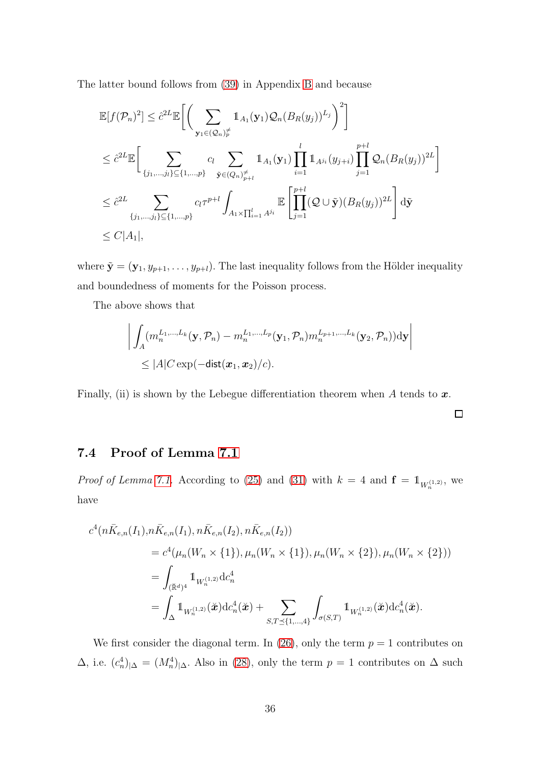The latter bound follows from [\(39\)](#page-43-0) in Appendix [B](#page-41-0) and because

$$
\mathbb{E}[f(\mathcal{P}_n)^2] \leq \hat{c}^{2L} \mathbb{E}\bigg[\bigg(\sum_{\mathbf{y}_1 \in (\mathcal{Q}_n)_p^{\neq}} \mathbb{1}_{A_1}(\mathbf{y}_1) \mathcal{Q}_n(B_R(y_j))^{L_j}\bigg)^2\bigg]
$$
  
\n
$$
\leq \hat{c}^{2L} \mathbb{E}\bigg[\sum_{\{j_1,\dots,j_l\} \subseteq \{1,\dots,p\}} c_l \sum_{\tilde{\mathbf{y}} \in (Q_n)_{p+l}^{\neq}} \mathbb{1}_{A_1}(\mathbf{y}_1) \prod_{i=1}^l \mathbb{1}_{A^{j_i}}(y_{j+i}) \prod_{j=1}^{p+l} \mathcal{Q}_n(B_R(y_j))^{2L}\bigg]
$$
  
\n
$$
\leq \hat{c}^{2L} \sum_{\{j_1,\dots,j_l\} \subseteq \{1,\dots,p\}} c_l \tau^{p+l} \int_{A_1 \times \prod_{i=1}^l A^{j_i}} \mathbb{E}\bigg[\prod_{j=1}^{p+l} (\mathcal{Q} \cup \tilde{\mathbf{y}})(B_R(y_j))^{2L}\bigg] d\tilde{\mathbf{y}}
$$
  
\n
$$
\leq C|A_1|,
$$

where  $\tilde{\mathbf{y}} = (\mathbf{y}_1, y_{p+1}, \dots, y_{p+l})$ . The last inequality follows from the Hölder inequality and boundedness of moments for the Poisson process.

The above shows that

$$
\left| \int_A (m_n^{L_1,\ldots,L_k}(\mathbf{y}, \mathcal{P}_n) - m_n^{L_1,\ldots,L_p}(\mathbf{y}_1, \mathcal{P}_n) m_n^{L_{p+1},\ldots,L_k}(\mathbf{y}_2, \mathcal{P}_n)) \mathrm{d}\mathbf{y} \right|
$$
  
\$\leq |A| C \exp(-\text{dist}(\mathbf{x}\_1, \mathbf{x}\_2)/c).

<span id="page-35-0"></span>Finally, (ii) is shown by the Lebegue differentiation theorem when A tends to  $\boldsymbol{x}$ .

 $\Box$ 

# 7.4 Proof of Lemma [7.1](#page-25-1)

*Proof of Lemma [7.1.](#page-25-1)* According to [\(25\)](#page-27-1) and [\(31\)](#page-29-2) with  $k = 4$  and  $\mathbf{f} = \mathbb{1}_{W_n^{(1,2)}},$  we have

$$
c^{4}(n\bar{K}_{e,n}(I_{1}), n\bar{K}_{e,n}(I_{1}), n\bar{K}_{e,n}(I_{2}), n\bar{K}_{e,n}(I_{2}))
$$
  
=  $c^{4}(\mu_{n}(W_{n} \times \{1\}), \mu_{n}(W_{n} \times \{1\}), \mu_{n}(W_{n} \times \{2\}), \mu_{n}(W_{n} \times \{2\}))$   
=  $\int_{(\mathbb{R}^{d})^{4}} 1_{W_{n}^{(1,2)}} d c_{n}^{4}$   
=  $\int_{\Delta} 1_{W_{n}^{(1,2)}}(\mathbf{\check{x}}) d c_{n}^{4}(\mathbf{\check{x}}) + \sum_{S,T \preceq \{1,\dots,4\}} \int_{\sigma(S,T)} 1_{W_{n}^{(1,2)}}(\mathbf{\check{x}}) d c_{n}^{4}(\mathbf{\check{x}}).$ 

We first consider the diagonal term. In [\(26\)](#page-27-2), only the term  $p = 1$  contributes on  $\Delta$ , i.e.  $(c_n^4)_{|\Delta} = (M_n^4)_{|\Delta}$ . Also in [\(28\)](#page-28-0), only the term  $p = 1$  contributes on  $\Delta$  such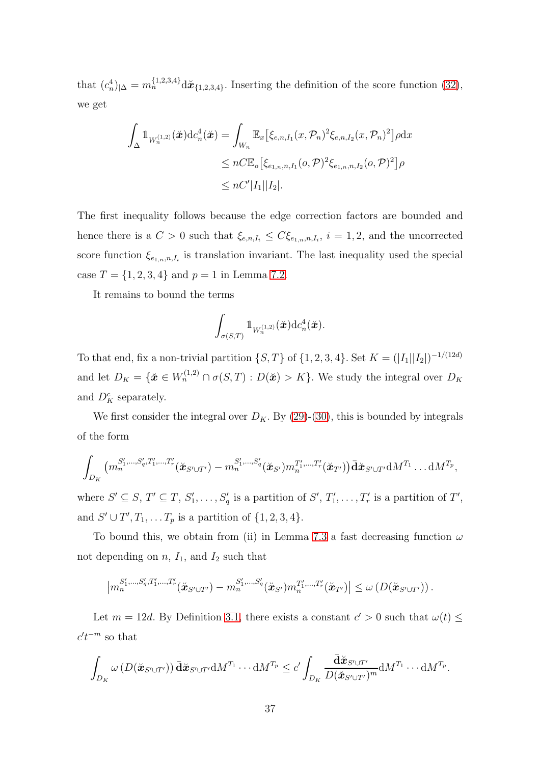that  $(c_n^4)|_{\Delta} = m_n^{\{1,2,3,4\}} d\mathbf{\ddot{x}}_{\{1,2,3,4\}}$ . Inserting the definition of the score function [\(32\)](#page-29-1), we get

$$
\int_{\Delta} \mathbb{1}_{W_n^{(1,2)}}(\tilde{\mathbf{x}}) d c_n^4(\tilde{\mathbf{x}}) = \int_{W_n} \mathbb{E}_x \left[ \xi_{e,n,I_1}(x, \mathcal{P}_n)^2 \xi_{e,n,I_2}(x, \mathcal{P}_n)^2 \right] \rho dx
$$
  
\n
$$
\leq n C \mathbb{E}_o \left[ \xi_{e_{1,n},n,I_1}(o, \mathcal{P})^2 \xi_{e_{1,n},n,I_2}(o, \mathcal{P})^2 \right] \rho
$$
  
\n
$$
\leq n C' |I_1||I_2|.
$$

The first inequality follows because the edge correction factors are bounded and hence there is a  $C > 0$  such that  $\xi_{e,n,I_i} \leq C \xi_{e_{1,n},n,I_i}$ ,  $i = 1,2$ , and the uncorrected score function  $\xi_{e_{1,n},n,I_i}$  is translation invariant. The last inequality used the special case  $T = \{1, 2, 3, 4\}$  and  $p = 1$  in Lemma [7.2.](#page-30-0)

It remains to bound the terms

$$
\int_{\sigma(S,T)} 1\!\!1_{W_n^{(1,2)}}(\check{\boldsymbol{x}}) \mathrm{d} c_n^4(\check{\boldsymbol{x}}).
$$

To that end, fix a non-trivial partition  $\{S, T\}$  of  $\{1, 2, 3, 4\}$ . Set  $K = (|I_1||I_2|)^{-1/(12d)}$ and let  $D_K = {\{\mathbf{\check{x}} \in W_n^{(1,2)} \cap \sigma(S,T) : D(\mathbf{\check{x}}) > K\}}$ . We study the integral over  $D_K$ and  $D_K^c$  separately.

We first consider the integral over  $D_K$ . By [\(29\)](#page-28-2)-[\(30\)](#page-29-3), this is bounded by integrals of the form

$$
\int_{D_K} (m_n^{S'_1,\ldots,S'_q,T'_1,\ldots,T'_r}(\check{\mathbf{x}}_{S'\cup T'})-m_n^{S'_1,\ldots,S'_q}(\check{\mathbf{x}}_{S'})m_n^{T'_1,\ldots,T'_r}(\check{\mathbf{x}}_{T'}))\bar{\mathbf{d}}\check{\mathbf{x}}_{S'\cup T'}\mathrm{d}M^{T_1}\ldots\mathrm{d}M^{T_p},
$$

where  $S' \subseteq S$ ,  $T' \subseteq T$ ,  $S'_1, \ldots, S'_q$  is a partition of  $S'$ ,  $T'_1, \ldots, T'_r$  is a partition of  $T'$ , and  $S' \cup T', T_1, \ldots T_p$  is a partition of  $\{1, 2, 3, 4\}.$ 

To bound this, we obtain from (ii) in Lemma [7.3](#page-32-0) a fast decreasing function  $\omega$ not depending on  $n$ ,  $I_1$ , and  $I_2$  such that

$$
\left| m_n^{S'_1,\dots,S'_q,T'_1,\dots,T'_r}(\check{\mathbf{x}}_{S'\cup T'}) - m_n^{S'_1,\dots,S'_q}(\check{\mathbf{x}}_{S'})m_n^{T'_1,\dots,T'_r}(\check{\mathbf{x}}_{T'}) \right| \leq \omega\left(D(\check{\mathbf{x}}_{S'\cup T'})\right).
$$

Let  $m = 12d$ . By Definition [3.1,](#page-5-0) there exists a constant  $c' > 0$  such that  $\omega(t) \leq$  $c't^{-m}$  so that

$$
\int_{D_K} \omega\left(D(\check{\mathbf{x}}_{S' \cup T'})\right) \bar{\mathbf{d}} \check{\mathbf{x}}_{S' \cup T'} \mathrm{d} M^{T_1} \cdots \mathrm{d} M^{T_p} \leq c' \int_{D_K} \frac{\bar{\mathbf{d}} \check{\mathbf{x}}_{S' \cup T'}}{D(\check{\mathbf{x}}_{S' \cup T'})^m} \mathrm{d} M^{T_1} \cdots \mathrm{d} M^{T_p}.
$$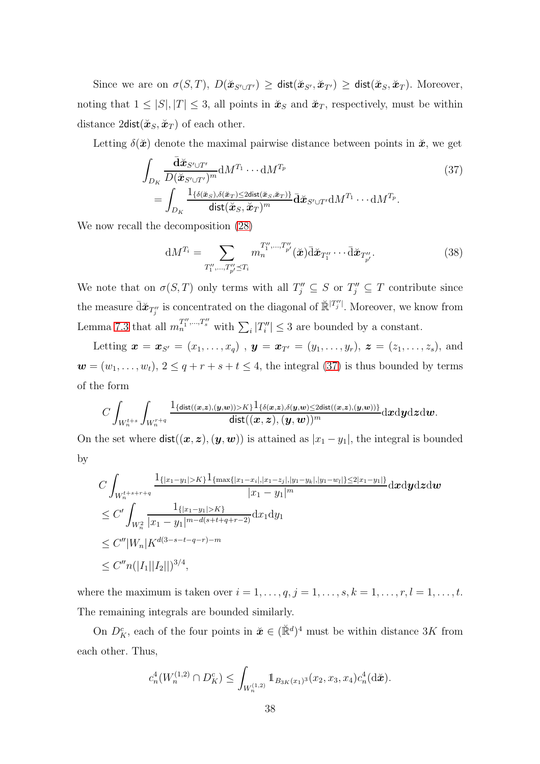Since we are on  $\sigma(S,T)$ ,  $D(\mathbf{\tilde{x}}_{S' \cup T'}) \geq \text{dist}(\mathbf{\tilde{x}}_{S'}, \mathbf{\tilde{x}}_{T'}) \geq \text{dist}(\mathbf{\tilde{x}}_S, \mathbf{\tilde{x}}_T)$ . Moreover, noting that  $1 \leq |S|, |T| \leq 3$ , all points in  $\mathbf{x}_S$  and  $\mathbf{x}_T$ , respectively, must be within distance  $2\text{dist}(\check{\boldsymbol{x}}_S, \check{\boldsymbol{x}}_T)$  of each other.

Letting  $\delta(\tilde{x})$  denote the maximal pairwise distance between points in  $\tilde{x}$ , we get

$$
\int_{D_K} \frac{\bar{\mathbf{d}}\check{\mathbf{x}}_{S' \cup T'}}{D(\check{\mathbf{x}}_{S' \cup T'})^m} dM^{T_1} \cdots dM^{T_p}
$$
\n
$$
= \int_{D_K} \frac{\mathbf{1}_{\{\delta(\check{\mathbf{x}}_S), \delta(\check{\mathbf{x}}_T) \le 2\mathrm{dist}(\check{\mathbf{x}}_S, \check{\mathbf{x}}_T)\}}}{\mathrm{dist}(\check{\mathbf{x}}_S, \check{\mathbf{x}}_T)^m} \bar{\mathbf{d}}\check{\mathbf{x}}_{S' \cup T'} dM^{T_1} \cdots dM^{T_p}.
$$
\n(37)

We now recall the decomposition [\(28\)](#page-28-0)

<span id="page-37-0"></span>
$$
\mathrm{d}M^{T_i} = \sum_{T_1'',\dots,T_{p'}'' \preceq T_i} m_n^{T_1'',\dots,T_{p'}''}(\check{\boldsymbol{x}}) \bar{\mathrm{d}} \check{\boldsymbol{x}}_{T_1''} \cdots \bar{\mathrm{d}} \check{\boldsymbol{x}}_{T_{p'}''}.
$$
(38)

We note that on  $\sigma(S,T)$  only terms with all  $T''_j \subseteq S$  or  $T''_j \subseteq T$  contribute since the measure  $\bar{\mathrm{d}}\check{\bm{x}}_{T''_j}$  is concentrated on the diagonal of  $\check{\mathbb{R}}^{[T''_j]}$ . Moreover, we know from Lemma [7.3](#page-32-0) that all  $m_n^{T''_1,\dots,T''_s}$  with  $\sum_i |T''_i| \leq 3$  are bounded by a constant.

Letting  $\mathbf{x} = \mathbf{x}_{S'} = (x_1, \ldots, x_q)$ ,  $\mathbf{y} = \mathbf{x}_{T'} = (y_1, \ldots, y_r)$ ,  $\mathbf{z} = (z_1, \ldots, z_s)$ , and  $\mathbf{w} = (w_1, \ldots, w_t), 2 \leq q + r + s + t \leq 4$ , the integral [\(37\)](#page-37-0) is thus bounded by terms of the form

$$
C\int_{W^{t+s}_n}\int_{W^{r+q}_n}\frac{\boldsymbol{1}_{\{\text{dist}((\boldsymbol{x},\boldsymbol{z}),(\boldsymbol{y},\boldsymbol{w}))>K\}}\boldsymbol{1}_{\{\delta(\boldsymbol{x},\boldsymbol{z}),\delta(\boldsymbol{y},\boldsymbol{w})\leq 2\text{dist}((\boldsymbol{x},\boldsymbol{z}),(\boldsymbol{y},\boldsymbol{w}))\}}}{\text{dist}((\boldsymbol{x},\boldsymbol{z}),(\boldsymbol{y},\boldsymbol{w}))^m}\mathrm{d} \boldsymbol{x}\mathrm{d} \boldsymbol{y}\mathrm{d} \boldsymbol{z}\mathrm{d} \boldsymbol{w}.
$$

On the set where  $\textsf{dist}((x, z), (y, w))$  is attained as  $|x_1 - y_1|$ , the integral is bounded by

$$
C \int_{W_n^{t+s+r+q}} \frac{\mathbb{1}_{\{|x_1-y_1|>K\}} \mathbb{1}_{\{\max\{|x_1-x_i|,|x_1-z_j|,|y_1-y_k|,|y_1-w_l|\}\leq 2|x_1-y_1|\}}}{|x_1-y_1|^m} \mathrm{d}x \mathrm{d}y \mathrm{d}z \mathrm{d}w
$$
  
\n
$$
\leq C' \int_{W_n^2} \frac{\mathbb{1}_{\{|x_1-y_1|>K\}}}{|x_1-y_1|^{m-d(s+t+q+r-2)}} \mathrm{d}x_1 \mathrm{d}y_1}
$$
  
\n
$$
\leq C'' |W_n| K^{d(3-s-t-q-r)-m}
$$
  
\n
$$
\leq C'' n(|I_1||I_2||)^{3/4},
$$

where the maximum is taken over  $i = 1, \ldots, q, j = 1, \ldots, s, k = 1, \ldots, r, l = 1, \ldots, t$ . The remaining integrals are bounded similarly.

On  $D_K^c$ , each of the four points in  $\mathbf{x} \in (\mathbb{R}^d)^4$  must be within distance 3K from each other. Thus,

$$
c_n^4(W_n^{(1,2)} \cap D_K^c) \le \int_{W_n^{(1,2)}} \mathbb{1}_{B_{3K}(x_1)^3}(x_2, x_3, x_4) c_n^4(\mathrm{d}\check{\mathbf{x}}).
$$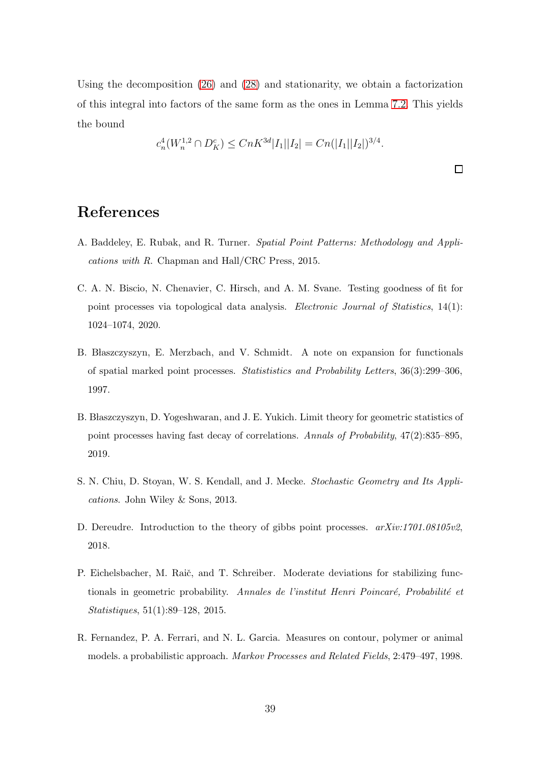Using the decomposition [\(26\)](#page-27-2) and [\(28\)](#page-28-0) and stationarity, we obtain a factorization of this integral into factors of the same form as the ones in Lemma [7.2.](#page-30-0) This yields the bound

$$
c_n^4(W_n^{1,2} \cap D_K^c) \le C n K^{3d} |I_1||I_2| = C n(|I_1||I_2|)^{3/4}.
$$

 $\Box$ 

# References

- <span id="page-38-1"></span>A. Baddeley, E. Rubak, and R. Turner. *Spatial Point Patterns: Methodology and Applications with R*. Chapman and Hall/CRC Press, 2015.
- <span id="page-38-3"></span>C. A. N. Biscio, N. Chenavier, C. Hirsch, and A. M. Svane. Testing goodness of fit for point processes via topological data analysis. *Electronic Journal of Statistics*, 14(1): 1024–1074, 2020.
- <span id="page-38-6"></span>B. Blaszczyszyn, E. Merzbach, and V. Schmidt. A note on expansion for functionals of spatial marked point processes. *Statististics and Probability Letters*, 36(3):299–306, 1997.
- <span id="page-38-2"></span>B. Błaszczyszyn, D. Yogeshwaran, and J. E. Yukich. Limit theory for geometric statistics of point processes having fast decay of correlations. *Annals of Probability*, 47(2):835–895, 2019.
- <span id="page-38-0"></span>S. N. Chiu, D. Stoyan, W. S. Kendall, and J. Mecke. *Stochastic Geometry and Its Applications*. John Wiley & Sons, 2013.
- <span id="page-38-4"></span>D. Dereudre. Introduction to the theory of gibbs point processes. *arXiv:1701.08105v2*, 2018.
- <span id="page-38-5"></span>P. Eichelsbacher, M. Raič, and T. Schreiber. Moderate deviations for stabilizing functionals in geometric probability. Annales de l'institut Henri Poincaré, Probabilité et *Statistiques*, 51(1):89–128, 2015.
- <span id="page-38-7"></span>R. Fernandez, P. A. Ferrari, and N. L. Garcia. Measures on contour, polymer or animal models. a probabilistic approach. *Markov Processes and Related Fields*, 2:479–497, 1998.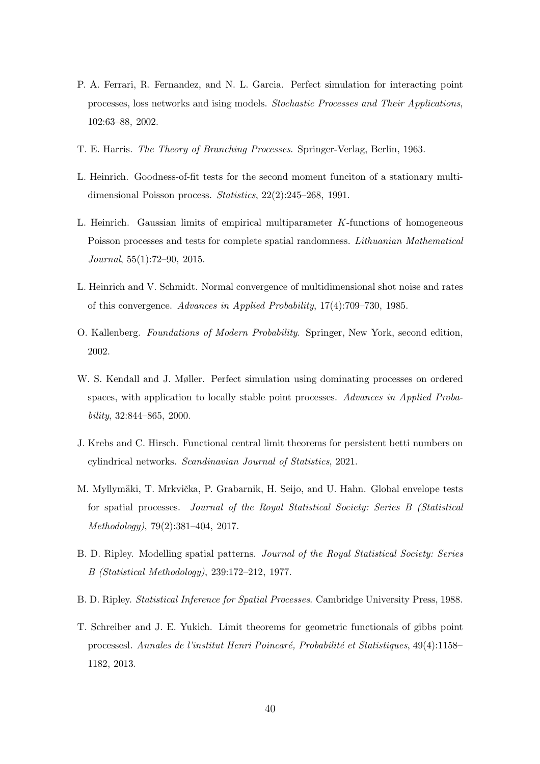- <span id="page-39-9"></span>P. A. Ferrari, R. Fernandez, and N. L. Garcia. Perfect simulation for interacting point processes, loss networks and ising models. *Stochastic Processes and Their Applications*, 102:63–88, 2002.
- <span id="page-39-11"></span>T. E. Harris. *The Theory of Branching Processes*. Springer-Verlag, Berlin, 1963.
- <span id="page-39-1"></span>L. Heinrich. Goodness-of-fit tests for the second moment funciton of a stationary multidimensional Poisson process. *Statistics*, 22(2):245–268, 1991.
- <span id="page-39-3"></span>L. Heinrich. Gaussian limits of empirical multiparameter K-functions of homogeneous Poisson processes and tests for complete spatial randomness. *Lithuanian Mathematical Journal*, 55(1):72–90, 2015.
- <span id="page-39-7"></span>L. Heinrich and V. Schmidt. Normal convergence of multidimensional shot noise and rates of this convergence. *Advances in Applied Probability*, 17(4):709–730, 1985.
- <span id="page-39-8"></span>O. Kallenberg. *Foundations of Modern Probability*. Springer, New York, second edition, 2002.
- <span id="page-39-10"></span>W. S. Kendall and J. Møller. Perfect simulation using dominating processes on ordered spaces, with application to locally stable point processes. *Advances in Applied Probability*, 32:844–865, 2000.
- <span id="page-39-4"></span>J. Krebs and C. Hirsch. Functional central limit theorems for persistent betti numbers on cylindrical networks. *Scandinavian Journal of Statistics*, 2021.
- <span id="page-39-2"></span>M. Myllymäki, T. Mrkvička, P. Grabarnik, H. Seijo, and U. Hahn. Global envelope tests for spatial processes. *Journal of the Royal Statistical Society: Series B (Statistical Methodology)*, 79(2):381–404, 2017.
- <span id="page-39-0"></span>B. D. Ripley. Modelling spatial patterns. *Journal of the Royal Statistical Society: Series B (Statistical Methodology)*, 239:172–212, 1977.
- <span id="page-39-5"></span>B. D. Ripley. *Statistical Inference for Spatial Processes*. Cambridge University Press, 1988.
- <span id="page-39-6"></span>T. Schreiber and J. E. Yukich. Limit theorems for geometric functionals of gibbs point processesl. *Annales de l'institut Henri Poincar´e, Probabilit´e et Statistiques*, 49(4):1158– 1182, 2013.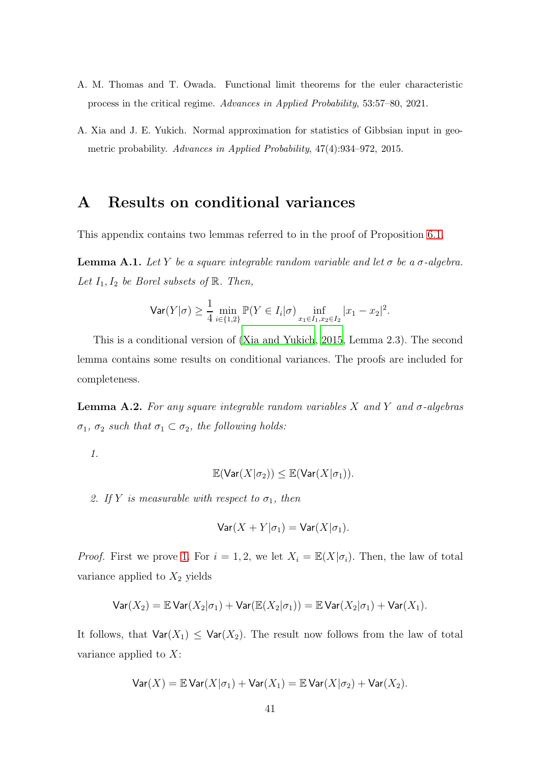- <span id="page-40-0"></span>A. M. Thomas and T. Owada. Functional limit theorems for the euler characteristic process in the critical regime. *Advances in Applied Probability*, 53:57–80, 2021.
- <span id="page-40-1"></span>A. Xia and J. E. Yukich. Normal approximation for statistics of Gibbsian input in geometric probability. *Advances in Applied Probability*, 47(4):934–972, 2015.

## <span id="page-40-2"></span>A Results on conditional variances

This appendix contains two lemmas referred to in the proof of Proposition [6.1.](#page-17-2)

<span id="page-40-4"></span>**Lemma A.1.** Let Y be a square integrable random variable and let  $\sigma$  be a  $\sigma$ -algebra. Let  $I_1, I_2$  be Borel subsets of  $\mathbb R$ . Then,

$$
\text{Var}(Y|\sigma) \ge \frac{1}{4} \min_{i \in \{1,2\}} \mathbb{P}(Y \in I_i|\sigma) \inf_{x_1 \in I_1, x_2 \in I_2} |x_1 - x_2|^2.
$$

This is a conditional version of [\(Xia and Yukich](#page-40-1), [2015,](#page-40-1) Lemma 2.3). The second lemma contains some results on conditional variances. The proofs are included for completeness.

<span id="page-40-5"></span><span id="page-40-3"></span>**Lemma A.2.** For any square integrable random variables X and Y and  $\sigma$ -algebras σ<sub>1</sub>, σ<sub>2</sub> such that  $σ_1 ⊂ σ_2$ , the following holds:

<span id="page-40-6"></span>1.

$$
\mathbb{E}(\text{Var}(X|\sigma_2)) \leq \mathbb{E}(\text{Var}(X|\sigma_1)).
$$

2. If Y is measurable with respect to  $\sigma_1$ , then

$$
\text{Var}(X+Y|\sigma_1) = \text{Var}(X|\sigma_1).
$$

*Proof.* First we prove [1.](#page-40-5) For  $i = 1, 2$ , we let  $X_i = \mathbb{E}(X|\sigma_i)$ . Then, the law of total variance applied to  $X_2$  yields

$$
\mathsf{Var}(X_2) = \mathbb{E} \mathsf{Var}(X_2|\sigma_1) + \mathsf{Var}(\mathbb{E}(X_2|\sigma_1)) = \mathbb{E} \mathsf{Var}(X_2|\sigma_1) + \mathsf{Var}(X_1).
$$

It follows, that  $\text{Var}(X_1) \leq \text{Var}(X_2)$ . The result now follows from the law of total variance applied to  $X$ :

$$
\text{Var}(X) = \mathbb{E} \text{Var}(X|\sigma_1) + \text{Var}(X_1) = \mathbb{E} \text{Var}(X|\sigma_2) + \text{Var}(X_2).
$$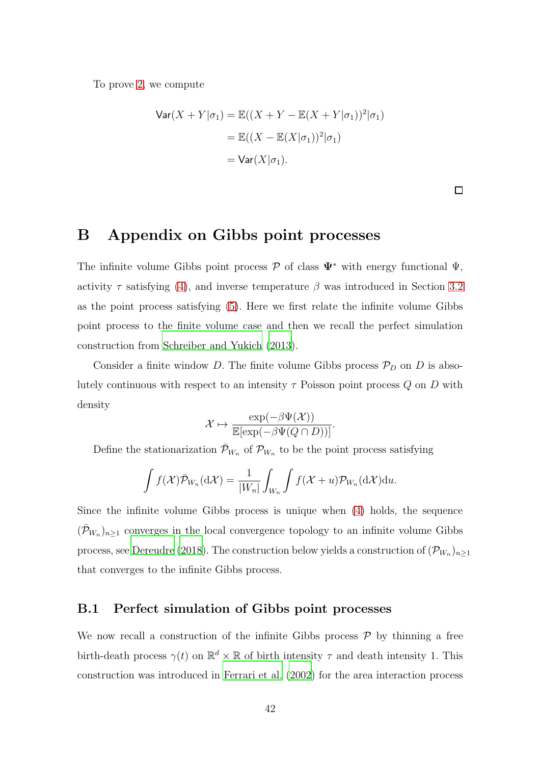To prove [2,](#page-40-6) we compute

$$
\begin{aligned} \text{Var}(X + Y|\sigma_1) &= \mathbb{E}((X + Y - \mathbb{E}(X + Y|\sigma_1))^2|\sigma_1) \\ &= \mathbb{E}((X - \mathbb{E}(X|\sigma_1))^2|\sigma_1) \\ &= \text{Var}(X|\sigma_1). \end{aligned}
$$

 $\Box$ 

## <span id="page-41-0"></span>B Appendix on Gibbs point processes

The infinite volume Gibbs point process  $\mathcal P$  of class  $\Psi^*$  with energy functional  $\Psi$ , activity  $\tau$  satisfying [\(4\)](#page-8-0), and inverse temperature  $\beta$  was introduced in Section [3.2](#page-7-0) as the point process satisfying [\(5\)](#page-8-1). Here we first relate the infinite volume Gibbs point process to the finite volume case and then we recall the perfect simulation construction from [Schreiber and Yukich \(2013\)](#page-39-6).

Consider a finite window D. The finite volume Gibbs process  $\mathcal{P}_D$  on D is absolutely continuous with respect to an intensity  $\tau$  Poisson point process  $Q$  on  $D$  with density

$$
\mathcal{X} \mapsto \frac{\exp(-\beta \Psi(\mathcal{X}))}{\mathbb{E}[\exp(-\beta \Psi(Q \cap D))]}.
$$

Define the stationarization  $\bar{\mathcal{P}}_{W_n}$  of  $\mathcal{P}_{W_n}$  to be the point process satisfying

$$
\int f(\mathcal{X}) \bar{\mathcal{P}}_{W_n}(\mathrm{d}\mathcal{X}) = \frac{1}{|W_n|} \int_{W_n} \int f(\mathcal{X} + u) \mathcal{P}_{W_n}(\mathrm{d}\mathcal{X}) \mathrm{d}u.
$$

Since the infinite volume Gibbs process is unique when [\(4\)](#page-8-0) holds, the sequence  $(\bar{\mathcal{P}}_{W_n})_{n\geq 1}$  converges in the local convergence topology to an infinite volume Gibbs process, see [Dereudre \(2018\)](#page-38-4). The construction below yields a construction of  $(\mathcal{P}_{W_n})_{n\geq 1}$ that converges to the infinite Gibbs process.

#### B.1 Perfect simulation of Gibbs point processes

We now recall a construction of the infinite Gibbs process  $P$  by thinning a free birth-death process  $\gamma(t)$  on  $\mathbb{R}^d \times \mathbb{R}$  of birth intensity  $\tau$  and death intensity 1. This construction was introduced in [Ferrari et al. \(2002\)](#page-39-9) for the area interaction process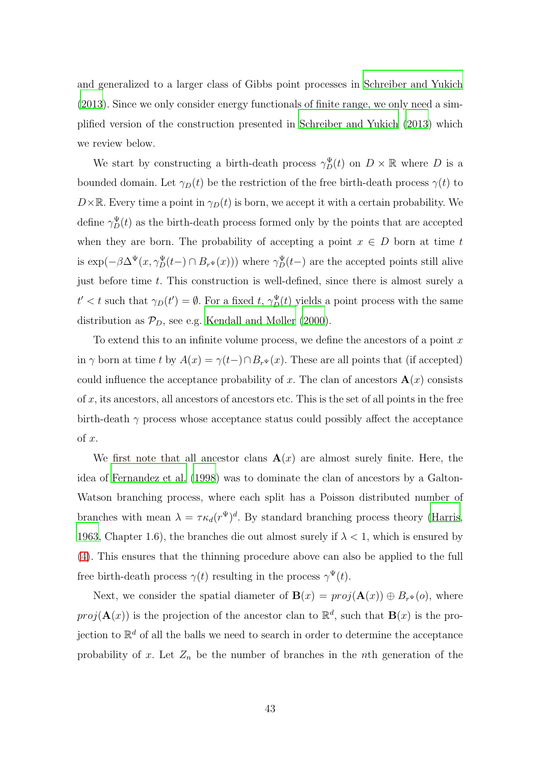and generalized to a larger class of Gibbs point processes in [Schreiber and Yukich](#page-39-6) [\(2013](#page-39-6)). Since we only consider energy functionals of finite range, we only need a simplified version of the construction presented in [Schreiber and Yukich \(2013\)](#page-39-6) which we review below.

We start by constructing a birth-death process  $\gamma_D^{\Psi}(t)$  on  $D \times \mathbb{R}$  where D is a bounded domain. Let  $\gamma_D(t)$  be the restriction of the free birth-death process  $\gamma(t)$  to  $D\times\mathbb{R}$ . Every time a point in  $\gamma_D(t)$  is born, we accept it with a certain probability. We define  $\gamma_D^{\Psi}(t)$  as the birth-death process formed only by the points that are accepted when they are born. The probability of accepting a point  $x \in D$  born at time t is  $\exp(-\beta \Delta^{\Psi}(x, \gamma_D^{\Psi}(t-)) \cap B_{r^{\Psi}}(x)))$  where  $\gamma_D^{\Psi}(t-)$  are the accepted points still alive just before time  $t$ . This construction is well-defined, since there is almost surely a  $t' < t$  such that  $\gamma_D(t') = \emptyset$ . For a fixed t,  $\gamma_D^{\Psi}(t)$  yields a point process with the same distribution as  $\mathcal{P}_D$ , see e.g. [Kendall and Møller \(2000\)](#page-39-10).

To extend this to an infinite volume process, we define the ancestors of a point  $x$ in  $\gamma$  born at time t by  $A(x) = \gamma(t-) \cap B_{r}((x))$ . These are all points that (if accepted) could influence the acceptance probability of x. The clan of ancestors  $\mathbf{A}(x)$  consists of  $x$ , its ancestors, all ancestors of ancestors etc. This is the set of all points in the free birth-death  $\gamma$  process whose acceptance status could possibly affect the acceptance of x.

We first note that all ancestor clans  $\mathbf{A}(x)$  are almost surely finite. Here, the idea of [Fernandez et al. \(1998\)](#page-38-7) was to dominate the clan of ancestors by a Galton-Watson branching process, where each split has a Poisson distributed number of branches with mean  $\lambda = \tau \kappa_d (r^{\Psi})^d$ . By standard branching process theory [\(Harris,](#page-39-11) [1963,](#page-39-11) Chapter 1.6), the branches die out almost surely if  $\lambda < 1$ , which is ensured by [\(4\)](#page-8-0). This ensures that the thinning procedure above can also be applied to the full free birth-death process  $\gamma(t)$  resulting in the process  $\gamma^{\Psi}(t)$ .

Next, we consider the spatial diameter of  $\mathbf{B}(x) = proj(\mathbf{A}(x)) \oplus B_{r^{\Psi}}(o)$ , where  $proj(\mathbf{A}(x))$  is the projection of the ancestor clan to  $\mathbb{R}^d$ , such that  $\mathbf{B}(x)$  is the projection to  $\mathbb{R}^d$  of all the balls we need to search in order to determine the acceptance probability of x. Let  $Z_n$  be the number of branches in the nth generation of the